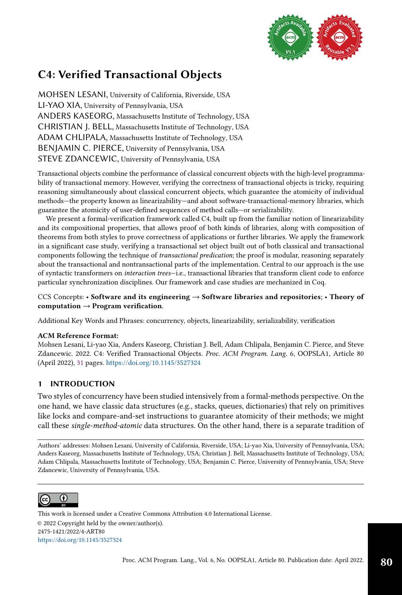

# C4: Verified Transactional Objects

MOHSEN LESANI, University of California, Riverside, USA LI-YAO XIA, University of Pennsylvania, USA ANDERS KASEORG, Massachusetts Institute of Technology, USA CHRISTIAN J. BELL, Massachusetts Institute of Technology, USA ADAM CHLIPALA, Massachusetts Institute of Technology, USA BENJAMIN C. PIERCE, University of Pennsylvania, USA STEVE ZDANCEWIC, University of Pennsylvania, USA

Transactional objects combine the performance of classical concurrent objects with the high-level programmability of transactional memory. However, verifying the correctness of transactional objects is tricky, requiring reasoning simultaneously about classical concurrent objects, which guarantee the atomicity of individual methods-the property known as linearizability-and about software-transactional-memory libraries, which guarantee the atomicity of user-defined sequences of method calls-or serializability.

We present a formal-verification framework called C4, built up from the familiar notion of linearizability and its compositional properties, that allows proof of both kinds of libraries, along with composition of theorems from both styles to prove correctness of applications or further libraries. We apply the framework in a significant case study, verifying a transactional set object built out of both classical and transactional components following the technique of transactional predication; the proof is modular, reasoning separately about the transactional and nontransactional parts of the implementation. Central to our approach is the use of syntactic transformers on *interaction trees*-i.e., transactional libraries that transform client code to enforce particular synchronization disciplines. Our framework and case studies are mechanized in Coq.

## CCS Concepts: • Software and its engineering → Software libraries and repositories; • Theory of computation  $\rightarrow$  Program verification.

Additional Key Words and Phrases: concurrency, objects, linearizability, serializability, verification

### ACM Reference Format:

Mohsen Lesani, Li-yao Xia, Anders Kaseorg, Christian J. Bell, Adam Chlipala, Benjamin C. Pierce, and Steve Zdancewic. 2022. C4: Verified Transactional Objects. Proc. ACM Program. Lang. 6, OOPSLA1, Article 80 (April 2022), [31](#page-30-0) pages. <https://doi.org/10.1145/3527324>

# 1 INTRODUCTION

Two styles of concurrency have been studied intensively from a formal-methods perspective. On the one hand, we have classic data structures (e.g., stacks, queues, dictionaries) that rely on primitives like locks and compare-and-set instructions to guarantee atomicity of their methods; we might call these single-method-atomic data structures. On the other hand, there is a separate tradition of

Authors' addresses: Mohsen Lesani, University of California, Riverside, USA; Li-yao Xia, University of Pennsylvania, USA; Anders Kaseorg, Massachusetts Institute of Technology, USA; Christian J. Bell, Massachusetts Institute of Technology, USA; Adam Chlipala, Massachusetts Institute of Technology, USA; Benjamin C. Pierce, University of Pennsylvania, USA; Steve Zdancewic, University of Pennsylvania, USA.



© 2022 Copyright held by the owner/author(s). 2475-1421/2022/4-ART80 <https://doi.org/10.1145/3527324> [This work is licensed under a Creative Commons Attribution 4.0 International License.](http://creativecommons.org/licenses/by/4.0/)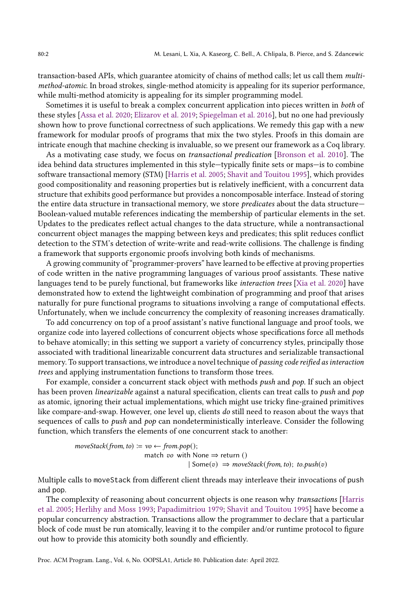transaction-based APIs, which guarantee atomicity of chains of method calls; let us call them multimethod-atomic. In broad strokes, single-method atomicity is appealing for its superior performance, while multi-method atomicity is appealing for its simpler programming model.

Sometimes it is useful to break a complex concurrent application into pieces written in both of these styles [\[Assa et al.](#page-27-0) [2020;](#page-27-0) [Elizarov et al.](#page-27-1) [2019;](#page-27-1) [Spiegelman et al.](#page-29-0) [2016\]](#page-29-0), but no one had previously shown how to prove functional correctness of such applications. We remedy this gap with a new framework for modular proofs of programs that mix the two styles. Proofs in this domain are intricate enough that machine checking is invaluable, so we present our framework as a Coq library.

As a motivating case study, we focus on transactional predication [\[Bronson et al.](#page-27-2) [2010\]](#page-27-2). The idea behind data structures implemented in this style-typically finite sets or maps-is to combine software transactional memory (STM) [\[Harris et al.](#page-28-0) [2005;](#page-28-0) [Shavit and Touitou 1995\]](#page-29-1), which provides good compositionality and reasoning properties but is relatively inefficient, with a concurrent data structure that exhibits good performance but provides a noncomposable interface. Instead of storing the entire data structure in transactional memory, we store *predicates* about the data structure— Boolean-valued mutable references indicating the membership of particular elements in the set. Updates to the predicates reflect actual changes to the data structure, while a nontransactional concurrent object manages the mapping between keys and predicates; this split reduces conflict detection to the STM's detection of write-write and read-write collisions. The challenge is finding a framework that supports ergonomic proofs involving both kinds of mechanisms.

A growing community of "programmer-provers" have learned to be effective at proving properties of code written in the native programming languages of various proof assistants. These native languages tend to be purely functional, but frameworks like interaction trees [\[Xia et al.](#page-29-2) [2020\]](#page-29-2) have demonstrated how to extend the lightweight combination of programming and proof that arises naturally for pure functional programs to situations involving a range of computational effects. Unfortunately, when we include concurrency the complexity of reasoning increases dramatically.

To add concurrency on top of a proof assistant's native functional language and proof tools, we organize code into layered collections of concurrent objects whose specifications force all methods to behave atomically; in this setting we support a variety of concurrency styles, principally those associated with traditional linearizable concurrent data structures and serializable transactional memory. To support transactions, we introduce a novel technique of passing code reified as interaction trees and applying instrumentation functions to transform those trees.

For example, consider a concurrent stack object with methods push and pop. If such an object has been proven *linearizable* against a natural specification, clients can treat calls to *push* and *pop* as atomic, ignoring their actual implementations, which might use tricky fine-grained primitives like compare-and-swap. However, one level up, clients do still need to reason about the ways that sequences of calls to *push* and *pop* can nondeterministically interleave. Consider the following function, which transfers the elements of one concurrent stack to another:

> $moveStack(from, to) := vo \leftarrow from.pop();$ match vo with None  $\Rightarrow$  return ()  $|$  Some $(v) \Rightarrow moveStack(from, to)$ ; to.push $(v)$

Multiple calls to moveStack from different client threads may interleave their invocations of push and pop.

The complexity of reasoning about concurrent objects is one reason why transactions [\[Harris](#page-28-0) [et al.](#page-28-0) [2005;](#page-28-0) [Herlihy and Moss 1993;](#page-28-1) [Papadimitriou 1979;](#page-29-3) [Shavit and Touitou 1995\]](#page-29-1) have become a popular concurrency abstraction. Transactions allow the programmer to declare that a particular block of code must be run atomically, leaving it to the compiler and/or runtime protocol to figure out how to provide this atomicity both soundly and efficiently.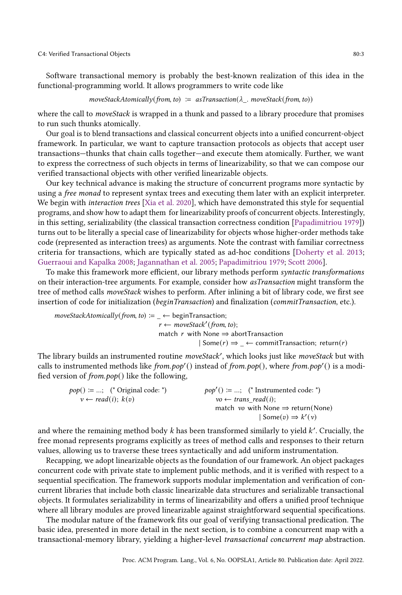#### C4: Verified Transactional Objects 80:3

Software transactional memory is probably the best-known realization of this idea in the functional-programming world. It allows programmers to write code like

#### $moveStackAtomically(from, to) := asTransaction(\lambda . moveStack(from, to))$

where the call to *moveStack* is wrapped in a thunk and passed to a library procedure that promises to run such thunks atomically.

Our goal is to blend transactions and classical concurrent objects into a unified concurrent-object framework. In particular, we want to capture transaction protocols as objects that accept user transactions-thunks that chain calls together–and execute them atomically. Further, we want to express the correctness of such objects in terms of linearizability, so that we can compose our verified transactional objects with other verified linearizable objects.

Our key technical advance is making the structure of concurrent programs more syntactic by using a free monad to represent syntax trees and executing them later with an explicit interpreter. We begin with *interaction trees* [\[Xia et al.](#page-29-2) [2020\]](#page-29-2), which have demonstrated this style for sequential programs, and show how to adapt them for linearizability proofs of concurrent objects. Interestingly, in this setting, serializability (the classical transaction correctness condition [\[Papadimitriou 1979\]](#page-29-3)) turns out to be literally a special case of linearizability for objects whose higher-order methods take code (represented as interaction trees) as arguments. Note the contrast with familiar correctness criteria for transactions, which are typically stated as ad-hoc conditions [\[Doherty et al.](#page-27-3) [2013;](#page-27-3) [Guerraoui and Kapalka 2008;](#page-27-4) [Jagannathan et al. 2005;](#page-28-2) [Papadimitriou 1979;](#page-29-3) [Scott 2006\]](#page-29-4).

To make this framework more efficient, our library methods perform syntactic transformations on their interaction-tree arguments. For example, consider how asTransaction might transform the tree of method calls moveStack wishes to perform. After inlining a bit of library code, we first see insertion of code for initialization (beginTransaction) and finalization (commitTransaction, etc.).

$$
moveStackAtomically(from, to) := \_\leftarrow \text{beginTransaction};
$$
\n
$$
r \leftarrow moveStack'(from, to);
$$
\n
$$
match \ r \ \text{with None} \Rightarrow abortTransaction; \ \text{return}(r)
$$
\n
$$
\mid Some(r) \Rightarrow \_\leftarrow \text{commitTransaction; return}(r)
$$

The library builds an instrumented routine moveStack', which looks just like moveStack but with calls to instrumented methods like from.pop'() instead of from.pop(), where from.pop'() is a modified version of from.pop() like the following,

| $pop() \coloneqq ;$ (* Original code: *) | $pop'( ) \coloneqq ;$ (* Instrumented code: *) |
|------------------------------------------|------------------------------------------------|
| $v \leftarrow read(i); k(v)$             | $vo \leftarrow trans\ read(i);$                |
|                                          | match vo with None $\Rightarrow$ return(None)  |
|                                          | $\text{Some}(v) \Rightarrow k'(v)$             |
|                                          |                                                |

and where the remaining method body  $k$  has been transformed similarly to yield  $k'$ . Crucially, the free monad represents programs explicitly as trees of method calls and responses to their return values, allowing us to traverse these trees syntactically and add uniform instrumentation.

Recapping, we adopt linearizable objects as the foundation of our framework. An object packages concurrent code with private state to implement public methods, and it is verified with respect to a sequential specification. The framework supports modular implementation and verification of concurrent libraries that include both classic linearizable data structures and serializable transactional objects. It formulates serializability in terms of linearizability and offers a unified proof technique where all library modules are proved linearizable against straightforward sequential specifications.

The modular nature of the framework fits our goal of verifying transactional predication. The basic idea, presented in more detail in the next section, is to combine a concurrent map with a transactional-memory library, yielding a higher-level transactional concurrent map abstraction.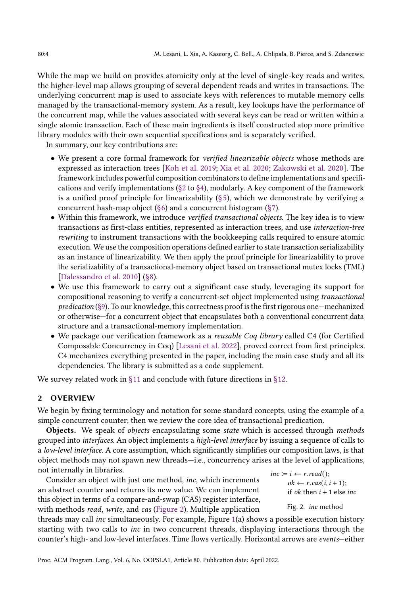While the map we build on provides atomicity only at the level of single-key reads and writes, the higher-level map allows grouping of several dependent reads and writes in transactions. The underlying concurrent map is used to associate keys with references to mutable memory cells managed by the transactional-memory system. As a result, key lookups have the performance of the concurrent map, while the values associated with several keys can be read or written within a single atomic transaction. Each of these main ingredients is itself constructed atop more primitive library modules with their own sequential specifications and is separately verified.

In summary, our key contributions are:

- We present a core formal framework for verified linearizable objects whose methods are expressed as interaction trees [\[Koh et al.](#page-28-3) [2019;](#page-28-3) [Xia et al.](#page-29-2) [2020;](#page-29-2) [Zakowski et al.](#page-29-5) [2020\]](#page-29-5). The framework includes powerful composition combinators to define implementations and specifications and verify implementations ( $\S 2$  to  $\S 4$ ), modularly. A key component of the framework is a unified proof principle for linearizability  $(§ 5)$ , which we demonstrate by verifying a concurrent hash-map object  $(\S6)$  and a concurrent histogram  $(\S7)$ .
- Within this framework, we introduce verified transactional objects. The key idea is to view transactions as first-class entities, represented as interaction trees, and use interaction-tree rewriting to instrument transactions with the bookkeeping calls required to ensure atomic execution. We use the composition operations defined earlier to state transaction serializability as an instance of linearizability. We then apply the proof principle for linearizability to prove the serializability of a transactional-memory object based on transactional mutex locks (TML) [\[Dalessandro et al. 2010\]](#page-27-5) [\(ğ8\)](#page-16-0).
- We use this framework to carry out a significant case study, leveraging its support for compositional reasoning to verify a concurrent-set object implemented using transactional  $prediction (§9)$ . To our knowledge, this correctness proof is the first rigorous one—mechanized or otherwise–for a concurrent object that encapsulates both a conventional concurrent data structure and a transactional-memory implementation.
- We package our verification framework as a *reusable Coq library* called C4 (for Certified Composable Concurrency in Coq) [\[Lesani et al.](#page-28-4) [2022\]](#page-28-4), proved correct from first principles. C4 mechanizes everything presented in the paper, including the main case study and all its dependencies. The library is submitted as a code supplement.

We survey related work in [ğ11](#page-24-0) and conclude with future directions in [ğ12.](#page-26-0)

## <span id="page-3-0"></span>2 OVERVIEW

We begin by fixing terminology and notation for some standard concepts, using the example of a simple concurrent counter; then we review the core idea of transactional predication.

**Objects.** We speak of *objects* encapsulating some *state* which is accessed through *methods* grouped into interfaces. An object implements a high-level interface by issuing a sequence of calls to a low-level interface. A core assumption, which significantly simplifies our composition laws, is that object methods may not spawn new threads—i.e., concurrency arises at the level of applications,

not internally in libraries.<br>
Consider an object with just one method, *inc*, which increments<br>  $i.e. := i \leftarrow r.read();$ <br>  $i.e. = r \cos(i)$ an abstract counter and returns its new value. We can implement this object in terms of a compare-and-swap (CAS) register interface, with methods read, write, and cas [\(Figure 2\)](#page-3-1). Multiple application

<span id="page-3-1"></span> $ok \leftarrow r \cdot cas(i, i + 1);$ if *ok* then  $i + 1$  else *inc* 

Fig. 2. inc method

threads may call inc simultaneously. For example, Figure [1\(](#page-4-0)a) shows a possible execution history starting with two calls to inc in two concurrent threads, displaying interactions through the counter's high- and low-level interfaces. Time flows vertically. Horizontal arrows are events-either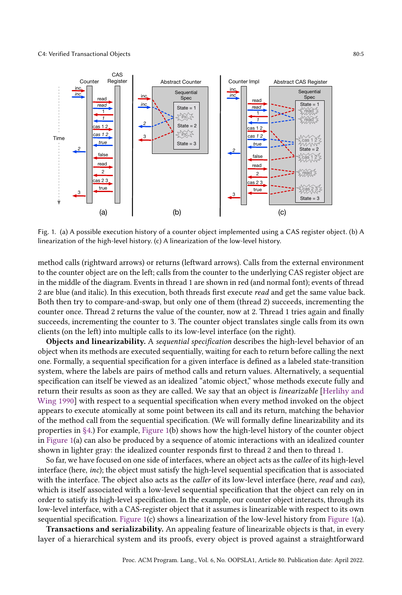<span id="page-4-0"></span>

Fig. 1. (a) A possible execution history of a counter object implemented using a CAS register object. (b) A linearization of the high-level history. (c) A linearization of the low-level history.

method calls (rightward arrows) or returns (leftward arrows). Calls from the external environment to the counter object are on the left; calls from the counter to the underlying CAS register object are in the middle of the diagram. Events in thread 1 are shown in red (and normal font); events of thread 2 are blue (and italic). In this execution, both threads first execute read and get the same value back. Both then try to compare-and-swap, but only one of them (thread 2) succeeds, incrementing the counter once. Thread 2 returns the value of the counter, now at 2. Thread 1 tries again and finally succeeds, incrementing the counter to 3. The counter object translates single calls from its own clients (on the left) into multiple calls to its low-level interface (on the right).

Objects and linearizability. A sequential specification describes the high-level behavior of an object when its methods are executed sequentially, waiting for each to return before calling the next one. Formally, a sequential specification for a given interface is defined as a labeled state-transition system, where the labels are pairs of method calls and return values. Alternatively, a sequential specification can itself be viewed as an idealized "atomic object," whose methods execute fully and return their results as soon as they are called. We say that an object is linearizable [\[Herlihy and](#page-28-5) [Wing 1990\]](#page-28-5) with respect to a sequential specification when every method invoked on the object appears to execute atomically at some point between its call and its return, matching the behavior of the method call from the sequential specification. (We will formally define linearizability and its properties in [ğ4.](#page-8-0)) For example, [Figure 1\(](#page-4-0)b) shows how the high-level history of the counter object in [Figure 1\(](#page-4-0)a) can also be produced by a sequence of atomic interactions with an idealized counter shown in lighter gray: the idealized counter responds first to thread 2 and then to thread 1.

So far, we have focused on one side of interfaces, where an object acts as the callee of its high-level interface (here, inc); the object must satisfy the high-level sequential specification that is associated with the interface. The object also acts as the *caller* of its low-level interface (here, *read* and *cas*), which is itself associated with a low-level sequential specification that the object can rely on in order to satisfy its high-level specification. In the example, our counter object interacts, through its low-level interface, with a CAS-register object that it assumes is linearizable with respect to its own sequential specification. [Figure 1\(](#page-4-0)c) shows a linearization of the low-level history from [Figure 1\(](#page-4-0)a).

Transactions and serializability. An appealing feature of linearizable objects is that, in every layer of a hierarchical system and its proofs, every object is proved against a straightforward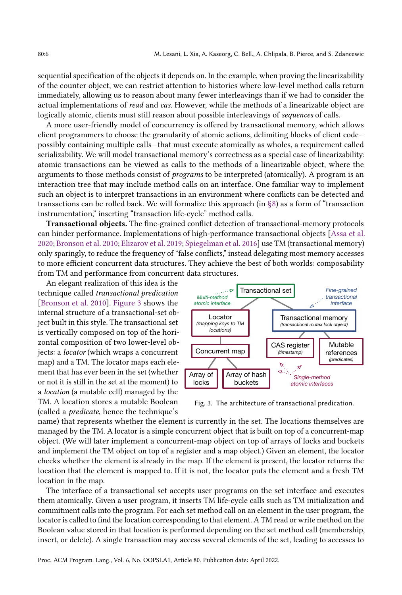sequential specification of the objects it depends on. In the example, when proving the linearizability of the counter object, we can restrict attention to histories where low-level method calls return immediately, allowing us to reason about many fewer interleavings than if we had to consider the actual implementations of read and cas. However, while the methods of a linearizable object are logically atomic, clients must still reason about possible interleavings of sequences of calls.

A more user-friendly model of concurrency is offered by transactional memory, which allows client programmers to choose the granularity of atomic actions, delimiting blocks of client code possibly containing multiple calls-that must execute atomically as wholes, a requirement called serializability. We will model transactional memory's correctness as a special case of linearizability: atomic transactions can be viewed as calls to the methods of a linearizable object, where the arguments to those methods consist of programs to be interpreted (atomically). A program is an interaction tree that may include method calls on an interface. One familiar way to implement such an object is to interpret transactions in an environment where conflicts can be detected and transactions can be rolled back. We will formalize this approach (in  $\S$ 8) as a form of "transaction" instrumentation," inserting "transaction life-cycle" method calls.

Transactional objects. The fine-grained conflict detection of transactional-memory protocols can hinder performance. Implementations of high-performance transactional objects [\[Assa et al.](#page-27-0) [2020;](#page-27-0) [Bronson et al.](#page-27-2) [2010;](#page-27-2) [Elizarov et al.](#page-27-1) [2019;](#page-27-1) [Spiegelman et al.](#page-29-0) [2016\]](#page-29-0) use TM (transactional memory) only sparingly, to reduce the frequency of "false conflicts," instead delegating most memory accesses to more efficient concurrent data structures. They achieve the best of both worlds: composability from TM and performance from concurrent data structures.

An elegant realization of this idea is the technique called transactional predication [\[Bronson et al.](#page-27-2) [2010\]](#page-27-2). [Figure 3](#page-5-0) shows the internal structure of a transactional-set object built in this style. The transactional set is vertically composed on top of the horizontal composition of two lower-level objects: a locator (which wraps a concurrent map) and a TM. The locator maps each element that has ever been in the set (whether or not it is still in the set at the moment) to a location (a mutable cell) managed by the TM. A location stores a mutable Boolean (called a predicate, hence the technique's

<span id="page-5-0"></span>

Fig. 3. The architecture of transactional predication.

name) that represents whether the element is currently in the set. The locations themselves are managed by the TM. A locator is a simple concurrent object that is built on top of a concurrent-map object. (We will later implement a concurrent-map object on top of arrays of locks and buckets and implement the TM object on top of a register and a map object.) Given an element, the locator checks whether the element is already in the map. If the element is present, the locator returns the location that the element is mapped to. If it is not, the locator puts the element and a fresh TM location in the map.

The interface of a transactional set accepts user programs on the set interface and executes them atomically. Given a user program, it inserts TM life-cycle calls such as TM initialization and commitment calls into the program. For each set method call on an element in the user program, the locator is called to find the location corresponding to that element. A TM read or write method on the Boolean value stored in that location is performed depending on the set method call (membership, insert, or delete). A single transaction may access several elements of the set, leading to accesses to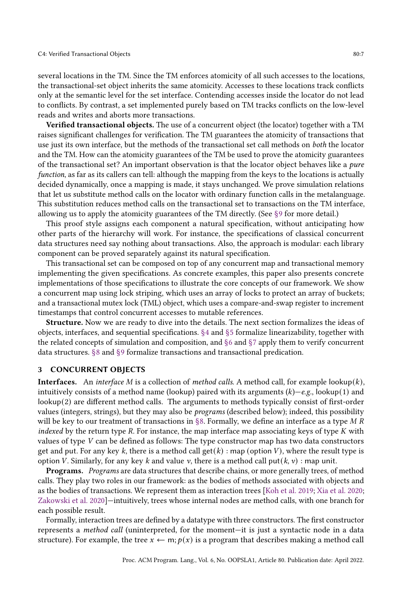several locations in the TM. Since the TM enforces atomicity of all such accesses to the locations, the transactional-set object inherits the same atomicity. Accesses to these locations track conflicts only at the semantic level for the set interface. Contending accesses inside the locator do not lead to conflicts. By contrast, a set implemented purely based on TM tracks conflicts on the low-level reads and writes and aborts more transactions.

Verified transactional objects. The use of a concurrent object (the locator) together with a TM raises significant challenges for verification. The TM guarantees the atomicity of transactions that use just its own interface, but the methods of the transactional set call methods on both the locator and the TM. How can the atomicity guarantees of the TM be used to prove the atomicity guarantees of the transactional set? An important observation is that the locator object behaves like a pure function, as far as its callers can tell: although the mapping from the keys to the locations is actually decided dynamically, once a mapping is made, it stays unchanged. We prove simulation relations that let us substitute method calls on the locator with ordinary function calls in the metalanguage. This substitution reduces method calls on the transactional set to transactions on the TM interface, allowing us to apply the atomicity guarantees of the TM directly. (See  $\S$ 9 for more detail.)

This proof style assigns each component a natural specification, without anticipating how other parts of the hierarchy will work. For instance, the specifications of classical concurrent data structures need say nothing about transactions. Also, the approach is modular: each library component can be proved separately against its natural specification.

This transactional set can be composed on top of any concurrent map and transactional memory implementing the given specifications. As concrete examples, this paper also presents concrete implementations of those specifications to illustrate the core concepts of our framework. We show a concurrent map using lock striping, which uses an array of locks to protect an array of buckets; and a transactional mutex lock (TML) object, which uses a compare-and-swap register to increment timestamps that control concurrent accesses to mutable references.

Structure. Now we are ready to dive into the details. The next section formalizes the ideas of objects, interfaces, and sequential specifications. [ğ4](#page-8-0) and [ğ5](#page-11-0) formalize linearizability, together with the related concepts of simulation and composition, and [ğ6](#page-14-0) and [ğ7](#page-15-0) apply them to verify concurrent data structures. [ğ8](#page-16-0) and [ğ9](#page-20-0) formalize transactions and transactional predication.

#### <span id="page-6-0"></span>3 CONCURRENT OBJECTS

**Interfaces.** An *interface M* is a collection of *method calls*. A method call, for example lookup(k), intuitively consists of a method name (lookup) paired with its arguments  $(k)$ –e.g., lookup(1) and lookup(2) are different method calls. The arguments to methods typically consist of first-order values (integers, strings), but they may also be programs (described below); indeed, this possibility will be key to our treatment of transactions in §8. Formally, we define an interface as a type M R indexed by the return type  $R$ . For instance, the map interface map associating keys of type  $K$  with values of type V can be defined as follows: The type constructor map has two data constructors get and put. For any key k, there is a method call  $get(k)$ : map (option V), where the result type is option V. Similarly, for any key k and value v, there is a method call put( $k$ ,  $v$ ) : map unit.

Programs. Programs are data structures that describe chains, or more generally trees, of method calls. They play two roles in our framework: as the bodies of methods associated with objects and as the bodies of transactions. We represent them as interaction trees [\[Koh et al.](#page-28-3) [2019;](#page-28-3) [Xia et al.](#page-29-2) [2020;](#page-29-2) [Zakowski et al.](#page-29-5) [2020\]](#page-29-5)–intuitively, trees whose internal nodes are method calls, with one branch for each possible result.

Formally, interaction trees are defined by a datatype with three constructors. The first constructor represents a *method call* (uninterpreted, for the moment—it is just a syntactic node in a data structure). For example, the tree  $x \leftarrow m; p(x)$  is a program that describes making a method call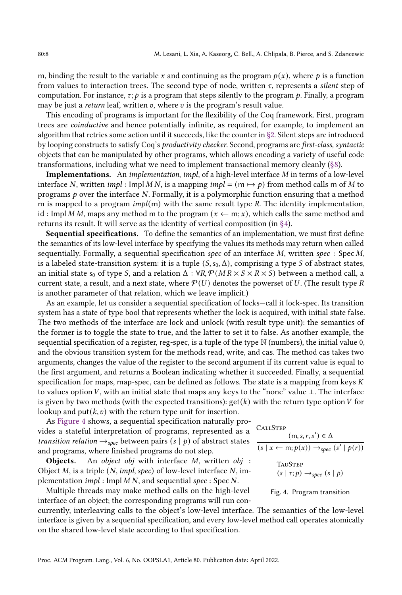m, binding the result to the variable x and continuing as the program  $p(x)$ , where p is a function from values to interaction trees. The second type of node, written  $\tau$ , represents a silent step of computation. For instance,  $\tau$ ;  $p$  is a program that steps silently to the program  $p$ . Finally, a program may be just a *return* leaf, written  $v$ , where  $v$  is the program's result value.

This encoding of programs is important for the flexibility of the Coq framework. First, program trees are coinductive and hence potentially infinite, as required, for example, to implement an algorithm that retries some action until it succeeds, like the counter in [ğ2.](#page-3-0) Silent steps are introduced by looping constructs to satisfy Coq's productivity checker. Second, programs are first-class, syntactic objects that can be manipulated by other programs, which allows encoding a variety of useful code transformations, including what we need to implement transactional memory cleanly [\(ğ8\)](#page-16-0).

Implementations. An implementation, impl, of a high-level interface M in terms of a low-level interface N, written impl : Impl M N, is a mapping impl =  $(m \mapsto p)$  from method calls m of M to programs  $p$  over the interface N. Formally, it is a polymorphic function ensuring that a method m is mapped to a program  $impl(m)$  with the same result type R. The identity implementation, id : Impl M M, maps any method m to the program  $(x \leftarrow m; x)$ , which calls the same method and returns its result. It will serve as the identity of vertical composition (in [ğ4\)](#page-8-0).

Sequential specifications. To define the semantics of an implementation, we must first define the semantics of its low-level interface by specifying the values its methods may return when called sequentially. Formally, a sequential specification spec of an interface  $M$ , written spec : Spec  $M$ , is a labeled state-transition system: it is a tuple  $(S, s_0, \Delta)$ , comprising a type S of abstract states, an initial state  $s_0$  of type S, and a relation  $\Delta : \forall R, \mathcal{P}(MR \times S \times R \times S)$  between a method call, a current state, a result, and a next state, where  $P(U)$  denotes the powerset of U. (The result type R is another parameter of that relation, which we leave implicit.)

As an example, let us consider a sequential specification of locks—call it lock-spec. Its transition system has a state of type bool that represents whether the lock is acquired, with initial state false. The two methods of the interface are lock and unlock (with result type unit): the semantics of the former is to toggle the state to true, and the latter to set it to false. As another example, the sequential specification of a register, reg-spec, is a tuple of the type  $\mathbb N$  (numbers), the initial value 0, and the obvious transition system for the methods read, write, and cas. The method cas takes two arguments, changes the value of the register to the second argument if its current value is equal to the first argument, and returns a Boolean indicating whether it succeeded. Finally, a sequential specification for maps, map-spec, can be defined as follows. The state is a mapping from keys  $K$ to values option V, with an initial state that maps any keys to the "none" value  $\perp$ . The interface is given by two methods (with the expected transitions):  $get(k)$  with the return type option V for lookup and put( $k, v$ ) with the return type unit for insertion.

As [Figure 4](#page-7-0) shows, a sequential specification naturally provides a stateful interpretation of programs, represented as a transition relation  $\rightarrow_{\text{spec}}$  between pairs  $(s | p)$  of abstract states and programs, where finished programs do not step.

Objects. An object obj with interface M, written obj : Object  $M$ , is a triple  $(N, impl, spec)$  of low-level interface  $N$ , implementation  $impl$ : Impl  $MN$ , and sequential spec: Spec  $N$ .

Multiple threads may make method calls on the high-level interface of an object; the corresponding programs will run con-

currently, interleaving calls to the object's low-level interface. The semantics of the low-level interface is given by a sequential specification, and every low-level method call operates atomically on the shared low-level state according to that specification.

<span id="page-7-0"></span>**CALLSTEP**  $(m, s, r, s') \in \Delta$ 

$$
(s \mid x \leftarrow m; p(x)) \rightarrow_{spec} (s' \mid p(r))
$$
  
TAUSTEP  

$$
(s \mid \tau; p) \rightarrow_{spec} (s \mid p)
$$

Fig. 4. Program transition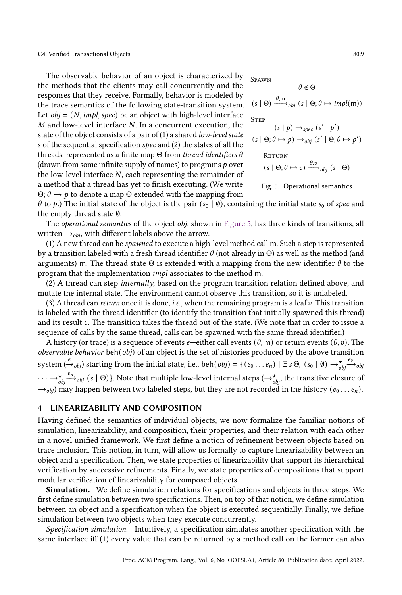The observable behavior of an object is characterized by the methods that the clients may call concurrently and the responses that they receive. Formally, behavior is modeled by the trace semantics of the following state-transition system. Let  $obj = (N, impl, spec)$  be an object with high-level interface M and low-level interface N. In a concurrent execution, the state of the object consists of a pair of (1) a shared low-level state s of the sequential specification spec and (2) the states of all the threads, represented as a finite map  $\Theta$  from thread identifiers  $\theta$ (drawn from some infinite supply of names) to programs  $p$  over the low-level interface N, each representing the remainder of a method that a thread has yet to finish executing. (We write  $\Theta$ ;  $\theta \mapsto p$  to denote a map  $\Theta$  extended with the mapping from

<span id="page-8-1"></span>Spawn

$$
\theta \notin \Theta
$$
\n
$$
(s \mid \Theta) \xrightarrow{\theta, m} \delta_{obj} (s \mid \Theta; \theta \mapsto impl(m))
$$
\n
$$
STEP
$$
\n
$$
(s \mid p) \rightarrow_{spec} (s' \mid p')
$$
\n
$$
(s \mid \Theta; \theta \mapsto p) \rightarrow_{obj} (s' \mid \Theta; \theta \mapsto p')
$$
\n
$$
RETURN
$$
\n
$$
(s \mid \Theta; \theta \mapsto v) \xrightarrow{\theta, v} \delta_{obj} (s \mid \Theta)
$$

Fig. 5. Operational semantics

 $\theta$  to  $p$ .) The initial state of the object is the pair  $(s_0 | \emptyset)$ , containing the initial state  $s_0$  of spec and the empty thread state ∅.

The *operational semantics* of the object *obj*, shown in [Figure 5,](#page-8-1) has three kinds of transitions, all written  $\rightarrow_{obj}$ , with different labels above the arrow.

(1) A new thread can be spawned to execute a high-level method call m. Such a step is represented by a transition labeled with a fresh thread identifier  $\theta$  (not already in  $\Theta$ ) as well as the method (and arguments) m. The thread state  $\Theta$  is extended with a mapping from the new identifier  $\theta$  to the program that the implementation impl associates to the method m.

(2) A thread can step internally, based on the program transition relation defined above, and mutate the internal state. The environment cannot observe this transition, so it is unlabeled.

(3) A thread can return once it is done, *i.e.*, when the remaining program is a leaf  $v$ . This transition is labeled with the thread identifier (to identify the transition that initially spawned this thread) and its result  $v$ . The transition takes the thread out of the state. (We note that in order to issue a sequence of calls by the same thread, calls can be spawned with the same thread identifier.)

A history (or trace) is a sequence of events *e*—either call events ( $\theta$ , m) or return events ( $\theta$ , v). The observable behavior beh(obj) of an object is the set of histories produced by the above transition system  $(\xrightarrow{e}_{obj})$  starting from the initial state, i.e., beh $(obj) = \{(e_0 \dots e_n) \mid \exists s \Theta, (s_0 \mid \emptyset) \rightarrow^{\star}_{obj}$  $\stackrel{e_0}{\longrightarrow}$ obj  $\cdots \rightarrow_{\textit{obj}}^{\star}$  $\stackrel{e_n}{\longrightarrow}_{obj} (s | \Theta)$ . Note that multiple low-level internal steps ( $\rightarrow_{obj}^{\star}$ , the transitive closure of  $\rightarrow_{obj}$ ) may happen between two labeled steps, but they are not recorded in the history  $(e_0 \dots e_n)$ .

#### <span id="page-8-0"></span>4 LINEARIZABILITY AND COMPOSITION

Having defined the semantics of individual objects, we now formalize the familiar notions of simulation, linearizability, and composition, their properties, and their relation with each other in a novel unified framework. We first define a notion of refinement between objects based on trace inclusion. This notion, in turn, will allow us formally to capture linearizability between an object and a specification. Then, we state properties of linearizability that support its hierarchical verification by successive refinements. Finally, we state properties of compositions that support modular verification of linearizability for composed objects.

Simulation. We define simulation relations for specifications and objects in three steps. We first define simulation between two specifications. Then, on top of that notion, we define simulation between an object and a specification when the object is executed sequentially. Finally, we define simulation between two objects when they execute concurrently.

Specification simulation. Intuitively, a specification simulates another specification with the same interface iff (1) every value that can be returned by a method call on the former can also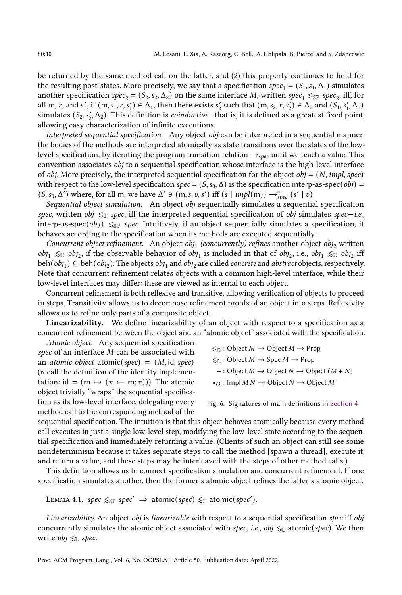be returned by the same method call on the latter, and (2) this property continues to hold for the resulting post-states. More precisely, we say that a specification spec<sub>1</sub> =  $(S_1, s_1, \Delta_1)$  simulates another specification spec<sub>2</sub> =  $(S_2, s_2, \Delta_2)$  on the same interface M, written spec<sub>1</sub>  $\leq_{SP}$  spec<sub>2</sub>, iff, for all m, r, and  $s'_1$ , if  $(m, s_1, r, s'_1) \in \Delta_1$ , then there exists  $s'_2$  such that  $(m, s_2, r, s'_2) \in \Delta_2$  and  $(S_1, s'_1, \Delta_1)$ simulates  $(S_2, s'_2, \Delta_2)$ . This definition is *coinductive*—that is, it is defined as a greatest fixed point, allowing easy characterization of infinite executions.

Interpreted sequential specification. Any object obj can be interpreted in a sequential manner: the bodies of the methods are interpreted atomically as state transitions over the states of the lowlevel specification, by iterating the program transition relation  $\rightarrow_{spec}$  until we reach a value. This convention associates obj to a sequential specification whose interface is the high-level interface of *obj*. More precisely, the interpreted sequential specification for the object *obj* =  $(N, impl, spec)$ with respect to the low-level specification spec =  $(S, s_0, \Delta)$  is the specification interp-as-spec(*obj*) =  $(S, s_0, \Delta')$  where, for all m, we have  $\Delta' \ni (m, s, v, s')$  iff  $(s | impl(m)) \rightarrow_{spec}^*(s' | v)$ .

Sequential object simulation. An object obj sequentially simulates a sequential specification spec, written obj  $\leq$  spec, iff the interpreted sequential specification of obj simulates spec—i.e., interp-as-spec( $obj$ )  $\leq_{SP}$  spec. Intuitively, if an object sequentially simulates a specification, it behaves according to the specification when its methods are executed sequentially.

Concurrent object refinement. An object obj<sub>1</sub> (concurrently) refines another object obj<sub>2</sub> written  $obj_1 \leq$  obj<sub>2</sub>, if the observable behavior of obj<sub>1</sub> is included in that of obj<sub>2</sub>, i.e., obj<sub>1</sub> ≤ obj<sub>2</sub> iff beh $(obj_1) \subseteq \text{beh}(obj_2)$ . The objects  $obj_1$  and  $obj_2$  are called *concrete* and *abstract* objects, respectively. Note that concurrent refinement relates objects with a common high-level interface, while their low-level interfaces may differ: these are viewed as internal to each object.

Concurrent refinement is both reflexive and transitive, allowing verification of objects to proceed in steps. Transitivity allows us to decompose refinement proofs of an object into steps. Reflexivity allows us to refine only parts of a composite object.

Linearizability. We define linearizability of an object with respect to a specification as a concurrent refinement between the object and an "atomic object" associated with the specification.

Atomic object. Any sequential specification spec of an interface  $M$  can be associated with an *atomic object* atomic(spec) =  $(M, id, spec)$ (recall the definition of the identity implementation: id =  $(m \mapsto (x \leftarrow m; x))$ . The atomic object trivially "wraps" the sequential specification as its low-level interface, delegating every method call to the corresponding method of the

<span id="page-9-1"></span>
$$
\leq_{\mathbb{C}} : \text{Object } M \to \text{Object } M \to \text{Prop}
$$
  
≤<sub>L</sub> : Object  $M \to \text{Spec } M \to \text{Prop}$   
+ : Object  $M \to \text{Object } N \to \text{Object } (M + N)$   
▶<sub>O</sub> : Impl  $M N \to \text{Object } N \to \text{Object } M$ 

```
Fig. 6. Signatures of main definitions in Section 4
```
sequential specification. The intuition is that this object behaves atomically because every method call executes in just a single low-level step, modifying the low-level state according to the sequential specification and immediately returning a value. (Clients of such an object can still see some nondeterminism because it takes separate steps to call the method [spawn a thread], execute it, and return a value, and these steps may be interleaved with the steps of other method calls.)

This definition allows us to connect specification simulation and concurrent refinement. If one specification simulates another, then the former's atomic object refines the latter's atomic object.

<span id="page-9-0"></span>LEMMA 4.1. spec  $\leq_{\mathbb{S}P}$  spec'  $\Rightarrow$  atomic(spec)  $\leq_{\mathbb{C}}$  atomic(spec').

Linearizability. An object obj is linearizable with respect to a sequential specification spec iff obj concurrently simulates the atomic object associated with spec, i.e., obj  $\leq_C$  atomic(spec). We then write *obj*  $\leq_L$  spec.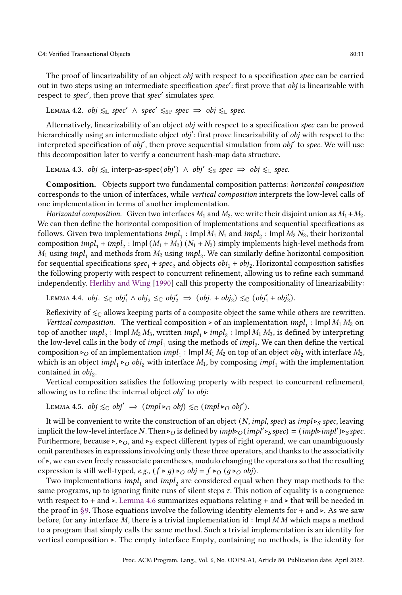C4: Verified Transactional Objects 80:11

The proof of linearizability of an object *obj* with respect to a specification spec can be carried out in two steps using an intermediate specification spec': first prove that obj is linearizable with respect to spec', then prove that spec' simulates spec.

LEMMA 4.2. obj  $\leq_{\mathbb{L}}$  spec' ∧ spec'  $\leq_{\mathbb{S}\mathbb{P}}$  spec  $\Rightarrow$  obj  $\leq_{\mathbb{L}}$  spec.

Alternatively, linearizability of an object obj with respect to a specification spec can be proved hierarchically using an intermediate object obj': first prove linearizability of obj with respect to the interpreted specification of obj', then prove sequential simulation from obj' to spec. We will use this decomposition later to verify a concurrent hash-map data structure.

<span id="page-10-0"></span>LEMMA 4.3. obj  $\leq$  interp-as-spec(obj') ∧ obj'  $\leq$ s spec  $\Rightarrow$  obj  $\leq$  spec.

Composition. Objects support two fundamental composition patterns: horizontal composition corresponds to the union of interfaces, while vertical composition interprets the low-level calls of one implementation in terms of another implementation.

Horizontal composition. Given two interfaces  $M_1$  and  $M_2$ , we write their disjoint union as  $M_1 + M_2$ . We can then define the horizontal composition of implementations and sequential specifications as follows. Given two implementations  $\text{impl}_1$  : Impl $M_1$   $N_1$  and  $\text{impl}_2$  : Impl $M_2$   $N_2$ , their horizontal composition  $impl_1 + impl_2$ : Impl  $(M_1 + M_2)$   $(N_1 + N_2)$  simply implements high-level methods from  $M_1$  using  $impl_1$  and methods from  $M_2$  using  $impl_2$ . We can similarly define horizontal composition for sequential specifications  $spec_1 + spec_2$  and objects  $obj_1 + obj_2$ . Horizontal composition satisfies the following property with respect to concurrent refinement, allowing us to refine each summand independently. [Herlihy and Wing](#page-28-5) [\[1990\]](#page-28-5) call this property the compositionality of linearizability:

LEMMA 4.4.  $obj_1 \leq_C obj'_1 \wedge obj_2 \leq_C obj'_2 \implies (obj_1 + obj_2) \leq_C (obj'_1 + obj'_2)$ .

Reflexivity of  $\leq_{\mathbb{C}}$  allows keeping parts of a composite object the same while others are rewritten. Vertical composition. The vertical composition ⊳ of an implementation  $impl_1$ : Impl  $M_1 M_2$  on top of another  $impl_2$  : Impl $M_2 M_3$ , written  $impl_1 \triangleright impl_2$  : Impl $M_1 M_3$ , is defined by interpreting the low-level calls in the body of  $impl_1$  using the methods of  $impl_2$ . We can then define the vertical composition ⊳<sub>O</sub> of an implementation  $impl_1$ : Impl  $M_1 M_2$  on top of an object  $obj_2$  with interface  $M_2$ , which is an object  $impl_1 \rightarrow O$  obj<sub>2</sub> with interface  $M_1$ , by composing  $impl_1$  with the implementation contained in  $obj_2$ .

Vertical composition satisfies the following property with respect to concurrent refinement, allowing us to refine the internal object obj' to obj:

LEMMA 4.5.  $obj \leq_{\mathbb{C}} obj' \Rightarrow (impl \triangleright_{O} obj) \leq_{\mathbb{C}} (impl \triangleright_{O} obj').$ 

It will be convenient to write the construction of an object (N, impl, spec) as impl⊳s spec, leaving implicit the low-level interface N. Then ⊳<sub>O</sub> is defined by  $impl\shd$ <sub>O</sub>( $impl\shd$ <sub>>S</sub>pec) = ( $impl\shd$ <sub>impl</sub>')  $\triangleright$ <sub>S</sub>spec. Furthermore, because ⊳, ⊳<sub>O</sub>, and ⊳<sub>S</sub> expect different types of right operand, we can unambiguously omit parentheses in expressions involving only these three operators, and thanks to the associativity of ⊲, we can even freely reassociate parentheses, modulo changing the operators so that the resulting expression is still well-typed, e.g.,  $(f \triangleright g) \triangleright_{\mathcal{O}} obj = f \triangleright_{\mathcal{O}} (g \triangleright_{\mathcal{O}} obj)$ .

Two implementations  $\textit{impl}_{\text{1}}$  and  $\textit{impl}_{\text{2}}$  are considered equal when they map methods to the same programs, up to ignoring finite runs of silent steps  $\tau$ . This notion of equality is a congruence with respect to + and ⊳. [Lemma 4.6](#page-11-1) summarizes equations relating + and ⊳ that will be needed in the proof in §9. Those equations involve the following identity elements for + and ⊳. As we saw before, for any interface  $M$ , there is a trivial implementation id : Impl  $M M$  which maps a method to a program that simply calls the same method. Such a trivial implementation is an identity for vertical composition ⊲. The empty interface Empty, containing no methods, is the identity for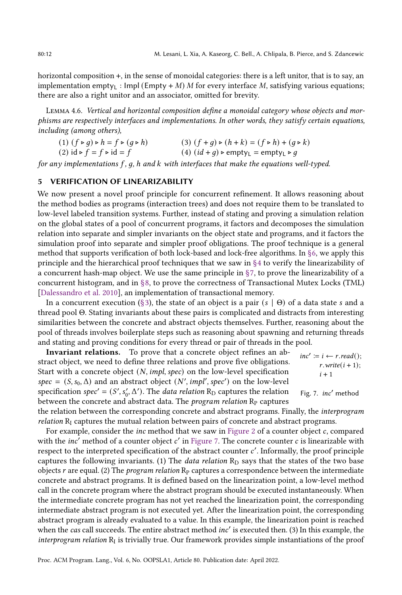<span id="page-11-2"></span> $r.write(i + 1);$ 

 $i + 1$ 

horizontal composition +, in the sense of monoidal categories: there is a left unitor, that is to say, an implementation empty<sub>L</sub> : Impl (Empty + M) M for every interface M, satisfying various equations; there are also a right unitor and an associator, omitted for brevity.

<span id="page-11-1"></span>Lemma 4.6. Vertical and horizontal composition define a monoidal category whose objects and morphisms are respectively interfaces and implementations. In other words, they satisfy certain equations, including (among others),

(1)  $(f \triangleright g) \triangleright h = f \triangleright (g \triangleright h)$ <br>
(3)  $(f + g) \triangleright (h + k) = (f \triangleright h) + (g \triangleright k)$ <br>
(2)  $id \triangleright f = f \triangleright id = f$ <br>
(4)  $(id + g) \triangleright \text{empty}_L = \text{empty}_L \triangleright g$ (4)  $(id + g)$  ⊳ empty<sub>L</sub> = empty<sub>L</sub> ⊳ *g* 

for any implementations  $f$ ,  $g$ ,  $h$  and  $k$  with interfaces that make the equations well-typed.

#### <span id="page-11-0"></span>5 VERIFICATION OF LINEARIZABILITY

We now present a novel proof principle for concurrent refinement. It allows reasoning about the method bodies as programs (interaction trees) and does not require them to be translated to low-level labeled transition systems. Further, instead of stating and proving a simulation relation on the global states of a pool of concurrent programs, it factors and decomposes the simulation relation into separate and simpler invariants on the object state and programs, and it factors the simulation proof into separate and simpler proof obligations. The proof technique is a general method that supports verification of both lock-based and lock-free algorithms. In [ğ6,](#page-14-0) we apply this principle and the hierarchical proof techniques that we saw in [ğ4](#page-8-0) to verify the linearizability of a concurrent hash-map object. We use the same principle in  $\S7$ , to prove the linearizability of a concurrent histogram, and in [ğ8,](#page-16-0) to prove the correctness of Transactional Mutex Locks (TML) [\[Dalessandro et al. 2010\]](#page-27-5), an implementation of transactional memory.

In a concurrent execution (§3), the state of an object is a pair  $(s | \Theta)$  of a data state s and a thread pool Θ. Stating invariants about these pairs is complicated and distracts from interesting similarities between the concrete and abstract objects themselves. Further, reasoning about the pool of threads involves boilerplate steps such as reasoning about spawning and returning threads and stating and proving conditions for every thread or pair of threads in the pool.

 $inc' \coloneqq i \leftarrow r.read();$ Fig. 7. inc′ method Invariant relations. To prove that a concrete object refines an abstract object, we need to define three relations and prove five obligations. Start with a concrete object  $(N, impl, spec)$  on the low-level specification spec =  $(S, s_0, \Delta)$  and an abstract object  $(N', impl', spec')$  on the low-level specification spec<sup>'</sup> = (S', s'<sub>0</sub>,  $\Delta'$ ). The *data relation* R<sub>D</sub> captures the relation between the concrete and abstract data. The *program relation*  $R<sub>P</sub>$  captures

the relation between the corresponding concrete and abstract programs. Finally, the interprogram  $relation R<sub>I</sub> captures the mutual relation between pairs of concrete and abstract programs.$ 

For example, consider the inc method that we saw in [Figure 2](#page-3-1) of a counter object  $c$ , compared with the *inc'* method of a counter object  $c'$  in [Figure 7.](#page-11-2) The concrete counter  $c$  is linearizable with respect to the interpreted specification of the abstract counter c'. Informally, the proof principle captures the following invariants. (1) The *data relation*  $R<sub>D</sub>$  says that the states of the two base objects  $r$  are equal. (2) The *program relation*  $\mathbb{R}_p$  captures a correspondence between the intermediate concrete and abstract programs. It is defined based on the linearization point, a low-level method call in the concrete program where the abstract program should be executed instantaneously. When the intermediate concrete program has not yet reached the linearization point, the corresponding intermediate abstract program is not executed yet. After the linearization point, the corresponding abstract program is already evaluated to a value. In this example, the linearization point is reached when the cas call succeeds. The entire abstract method inc' is executed then. (3) In this example, the interprogram relation  $R_I$  is trivially true. Our framework provides simple instantiations of the proof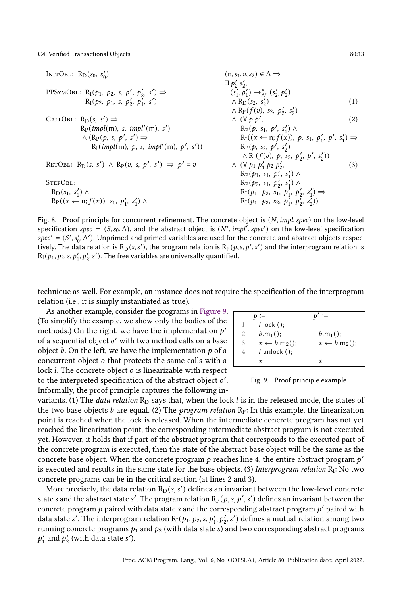C4: Verified Transactional Objects 80:13

<span id="page-12-1"></span>INTOBL: R<sub>D</sub>(s<sub>0</sub>, s'<sub>0</sub>) (n, s<sub>1</sub>, v, s<sub>2</sub>) ∈ Δ ⇒  
\n
$$
\exists p'_2 s'_2,
$$
\nPPSYMOBL: R<sub>I</sub>(p<sub>1</sub>, p<sub>2</sub>, s, p'<sub>1</sub>, p'<sub>2</sub>, s') ⇒ (s'<sub>1</sub>, p'<sub>1</sub>) →<sub>Δ</sub><sup>λ</sup> (s'<sub>2</sub>, p'<sub>2</sub>)  
\nR<sub>I</sub>(p<sub>2</sub>, p<sub>1</sub>, s, p'<sub>2</sub>, p'<sub>1</sub>, s') ∧ R<sub>P</sub>(f<sub>0</sub>), s<sub>2</sub>, p'<sub>2</sub>, s'<sub>2</sub>) (1)  
\nA<sub>P</sub>(f<sub>0</sub>), s<sub>2</sub>, p'<sub>2</sub>, s'<sub>2</sub>) ∧ (s<sub>P</sub>(f<sub>0</sub>), s<sub>2</sub>, p'<sub>2</sub>, s'<sub>2</sub>)  
\nR<sub>P</sub>(impl(m), s, impl'(m), s') ∧ R<sub>P</sub>(p, s<sub>1</sub>, p', s'<sub>1</sub>) ∧ R<sub>P</sub>(p, s<sub>1</sub>, p', s'<sub>1</sub>) → R<sub>I</sub>(f<sub>0</sub>), p, s<sub>1</sub>, p'<sub>1</sub>, p', s'<sub>1</sub>) ⇒  
\nR<sub>F</sub>(impl(m), p, s, impl'(m), p', s')) R<sub>P</sub>(p, s<sub>2</sub>, p', s'<sub>2</sub>) ∧ R<sub>I</sub>(f<sub>0</sub>), p, s<sub>2</sub>, p'<sub>2</sub>, p', s'<sub>2</sub>) ∧ R<sub>P</sub>(p<sub>1</sub>, s<sub>1</sub>, s'<sub>1</sub>) ∧ R<sub>P</sub>(p<sub>2</sub>, s<sub>1</sub>, p'<sub>2</sub>, s'<sub>1</sub>) ∧ R<sub>P</sub>(p<sub>2</sub>, s<sub>1</sub>, p'<sub>2</sub>, s'<sub>1</sub>) ∧ R<sub>P</sub>(p<sub>1</sub>, p<sub>2</sub>, s<sub>1</sub>, p'<sub>2</sub>, s'<sub>2</sub>) → R<sub>P</sub>(p<sub>1</sub>, p<sub>2</sub>, s<sub>1</sub>, p'

Fig. 8. Proof principle for concurrent refinement. The concrete object is  $(N, impl, spec)$  on the low-level specification spec =  $(S, s_0, \Delta)$ , and the abstract object is  $(N', impl', spec')$  on the low-level specification spec' =  $(S', s'_0, \Delta')$ . Unprimed and primed variables are used for the concrete and abstract objects respectively. The data relation is R<sub>D</sub>(s, s'), the program relation is R<sub>P</sub>(p, s, p', s') and the interprogram relation is  $R_1(p_1, p_2, s, p'_1, p'_2, s')$ . The free variables are universally quantified.

technique as well. For example, an instance does not require the specification of the interprogram relation (i.e., it is simply instantiated as true).

As another example, consider the programs in [Figure 9.](#page-12-0) (To simplify the example, we show only the bodies of the methods.) On the right, we have the implementation  $p'$ of a sequential object o' with two method calls on a base object  $b$ . On the left, we have the implementation  $p$  of a concurrent object  $o$  that protects the same calls with a lock  $l$ . The concrete object  $o$  is linearizable with respect to the interpreted specification of the abstract object o'. Informally, the proof principle captures the following in-

<span id="page-12-0"></span> $p \equiv$  $1$   $l$ .lock (); 2  $b.m_1()$ ; 3  $x \leftarrow b.m_2$ ();  $4$   $l.$ unlock ();  $\mathcal{X}$  $\overline{p'} \coloneqq$  $b.m<sub>1</sub>($  $x \leftarrow b.m_2$ ();  $\mathcal{X}$ 



variants. (1) The *data relation*  $R_D$  says that, when the lock  $l$  is in the released mode, the states of the two base objects *b* are equal. (2) The *program relation*  $R_P$ : In this example, the linearization point is reached when the lock is released. When the intermediate concrete program has not yet reached the linearization point, the corresponding intermediate abstract program is not executed yet. However, it holds that if part of the abstract program that corresponds to the executed part of the concrete program is executed, then the state of the abstract base object will be the same as the concrete base object. When the concrete program  $p$  reaches line 4, the entire abstract program  $p'$ is executed and results in the same state for the base objects. (3) Interprogram relation  $\rm R_I$ : No two concrete programs can be in the critical section (at lines 2 and 3).

More precisely, the data relation  $\mathcal{R}_{\text{D}}(s, s')$  defines an invariant between the low-level concrete state  $s$  and the abstract state  $s'$ . The program relation  $\mathrm{R}_\mathrm{P}(p, s, p', s')$  defines an invariant between the concrete program  $p$  paired with data state  $s$  and the corresponding abstract program  $p^\prime$  paired with data state s'. The interprogram relation  $R_I(p_1, p_2, s, p'_1, p'_2, s')$  defines a mutual relation among two running concrete programs  $p_1$  and  $p_2$  (with data state s) and two corresponding abstract programs  $p'_1$  and  $p'_2$  (with data state s').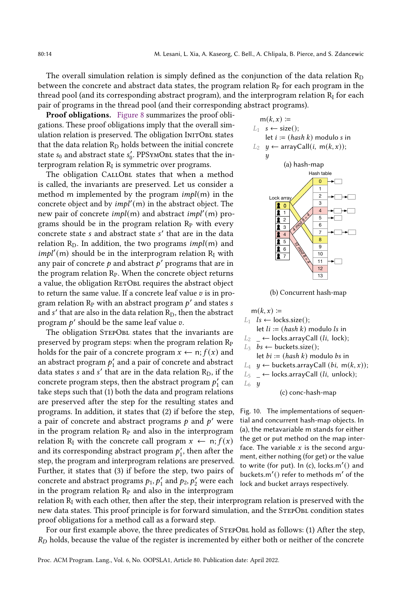The overall simulation relation is simply defined as the conjunction of the data relation  $R_D$ between the concrete and abstract data states, the program relation  $R<sub>P</sub>$  for each program in the thread pool (and its corresponding abstract program), and the interprogram relation  $R_I$  for each pair of programs in the thread pool (and their corresponding abstract programs).

Proof obligations. [Figure 8](#page-12-1) summarizes the proof obligations. These proof obligations imply that the overall simulation relation is preserved. The obligation INITOBL states that the data relation  $R_D$  holds between the initial concrete state  $s_0$  and abstract state  $s'_0$ . PPSYMOBL states that the interprogram relation  $R_I$  is symmetric over programs.

The obligation CALLOBL states that when a method is called, the invariants are preserved. Let us consider a method m implemented by the program  $impl(m)$  in the concrete object and by  $impl'(m)$  in the abstract object. The new pair of concrete *impl*(m) and abstract *impl'*(m) programs should be in the program relation  $R<sub>P</sub>$  with every concrete state *s* and abstract state *s'* that are in the data relation  $R_D$ . In addition, the two programs *impl*(m) and  $impl'(m)$  should be in the interprogram relation  $R_I$  with any pair of concrete  $p$  and abstract  $p'$  programs that are in the program relation  $R<sub>P</sub>$ . When the concrete object returns a value, the obligation RETOBL requires the abstract object to return the same value. If a concrete leaf value  $v$  is in program relation  $\mathbb{R}_{\mathrm{P}}$  with an abstract program  $p'$  and states  $s$ and  $s'$  that are also in the data relation  $\rm R_D,$  then the abstract program  $p'$  should be the same leaf value  $v$ .

The obligation STEPOBL states that the invariants are preserved by program steps: when the program relation  $R_P$ holds for the pair of a concrete program  $x \leftarrow n; f(x)$  and an abstract program  $p_1'$  and a pair of concrete and abstract data states s and s' that are in the data relation  $\rm R_D,$  if the concrete program steps, then the abstract program  $p'_1$  can take steps such that (1) both the data and program relations are preserved after the step for the resulting states and programs. In addition, it states that (2) if before the step, a pair of concrete and abstract programs  $p$  and  $p'$  were in the program relation  $R<sub>P</sub>$  and also in the interprogram relation R<sub>I</sub> with the concrete call program  $x \leftarrow n; f(x)$ and its corresponding abstract program  $p'_1$ , then after the step, the program and interprogram relations are preserved. Further, it states that (3) if before the step, two pairs of concrete and abstract programs  $p_1, p'_1$  and  $p_2, p'_2$  were each in the program relation  $R<sub>P</sub>$  and also in the interprogram

<span id="page-13-0"></span>



|                        | $m(k, x) \coloneqq$                                                             |
|------------------------|---------------------------------------------------------------------------------|
|                        | $L_1$ $ls \leftarrow$ locks.size();                                             |
|                        | let $li := (hash k)$ modulo ls in                                               |
|                        | $L_2 \leftarrow$ locks.arrayCall ( <i>li</i> , lock);                           |
|                        | $L_3$ bs $\leftarrow$ buckets.size();                                           |
|                        | let $bi := (hash k)$ modulo bs in                                               |
|                        | L <sub>4</sub> $y$ ← buckets.arrayCall ( <i>bi</i> , m( <i>k</i> , <i>x</i> )); |
|                        | $L_5$ $\leftarrow$ locks.arrayCall ( <i>li</i> , unlock);                       |
| $L_6$ $\boldsymbol{y}$ |                                                                                 |
|                        | (c) conc-hash-map                                                               |

Fig. 10. The implementations of sequential and concurrent hash-map objects. In (a), the metavariable m stands for either the get or put method on the map interface. The variable  $x$  is the second argument, either nothing (for get) or the value to write (for put). In (c), locks.m′ () and buckets.m′ () refer to methods m′ of the lock and bucket arrays respectively.

relation  $R_I$  with each other, then after the step, their interprogram relation is preserved with the new data states. This proof principle is for forward simulation, and the StepObl condition states proof obligations for a method call as a forward step.

For our first example above, the three predicates of STEPOBL hold as follows: (1) After the step,  $R_D$  holds, because the value of the register is incremented by either both or neither of the concrete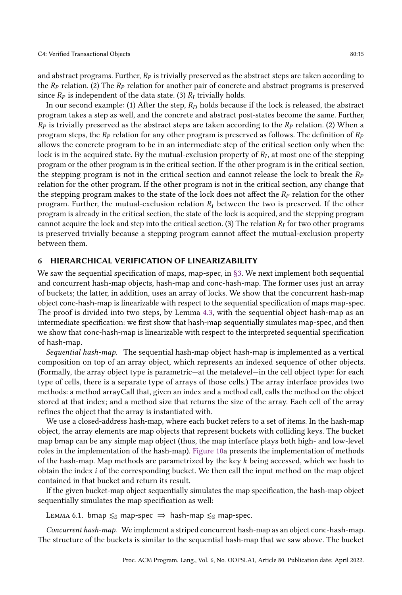and abstract programs. Further,  $R_p$  is trivially preserved as the abstract steps are taken according to the  $R_p$  relation. (2) The  $R_p$  relation for another pair of concrete and abstract programs is preserved since  $R_p$  is independent of the data state. (3)  $R_I$  trivially holds.

In our second example: (1) After the step,  $R_D$  holds because if the lock is released, the abstract program takes a step as well, and the concrete and abstract post-states become the same. Further,  $R_p$  is trivially preserved as the abstract steps are taken according to the  $R_p$  relation. (2) When a program steps, the  $R_p$  relation for any other program is preserved as follows. The definition of  $R_p$ allows the concrete program to be in an intermediate step of the critical section only when the lock is in the acquired state. By the mutual-exclusion property of  $R_I,$  at most one of the stepping program or the other program is in the critical section. If the other program is in the critical section, the stepping program is not in the critical section and cannot release the lock to break the  $R_p$ relation for the other program. If the other program is not in the critical section, any change that the stepping program makes to the state of the lock does not affect the  $R_p$  relation for the other program. Further, the mutual-exclusion relation  $R_I$  between the two is preserved. If the other program is already in the critical section, the state of the lock is acquired, and the stepping program cannot acquire the lock and step into the critical section. (3) The relation  $R_I$  for two other programs is preserved trivially because a stepping program cannot affect the mutual-exclusion property between them.

#### <span id="page-14-0"></span>6 HIERARCHICAL VERIFICATION OF LINEARIZABILITY

We saw the sequential specification of maps, map-spec, in [ğ3.](#page-6-0) We next implement both sequential and concurrent hash-map objects, hash-map and conc-hash-map. The former uses just an array of buckets; the latter, in addition, uses an array of locks. We show that the concurrent hash-map object conc-hash-map is linearizable with respect to the sequential specification of maps map-spec. The proof is divided into two steps, by Lemma [4.3,](#page-10-0) with the sequential object hash-map as an intermediate specification: we first show that hash-map sequentially simulates map-spec, and then we show that conc-hash-map is linearizable with respect to the interpreted sequential specification of hash-map.

Sequential hash-map. The sequential hash-map object hash-map is implemented as a vertical composition on top of an array object, which represents an indexed sequence of other objects. (Formally, the array object type is parametric—at the metalevel—in the cell object type: for each type of cells, there is a separate type of arrays of those cells.) The array interface provides two methods: a method arrayCall that, given an index and a method call, calls the method on the object stored at that index; and a method size that returns the size of the array. Each cell of the array refines the object that the array is instantiated with.

We use a closed-address hash-map, where each bucket refers to a set of items. In the hash-map object, the array elements are map objects that represent buckets with colliding keys. The bucket map bmap can be any simple map object (thus, the map interface plays both high- and low-level roles in the implementation of the hash-map). [Figure 10a](#page-13-0) presents the implementation of methods of the hash-map. Map methods are parametrized by the key  $k$  being accessed, which we hash to obtain the index *i* of the corresponding bucket. We then call the input method on the map object contained in that bucket and return its result.

If the given bucket-map object sequentially simulates the map specification, the hash-map object sequentially simulates the map specification as well:

<span id="page-14-1"></span>LEMMA 6.1. bmap  $\leq$ <sub>S</sub> map-spec  $\Rightarrow$  hash-map  $\leq$ <sub>S</sub> map-spec.

Concurrent hash-map. We implement a striped concurrent hash-map as an object conc-hash-map. The structure of the buckets is similar to the sequential hash-map that we saw above. The bucket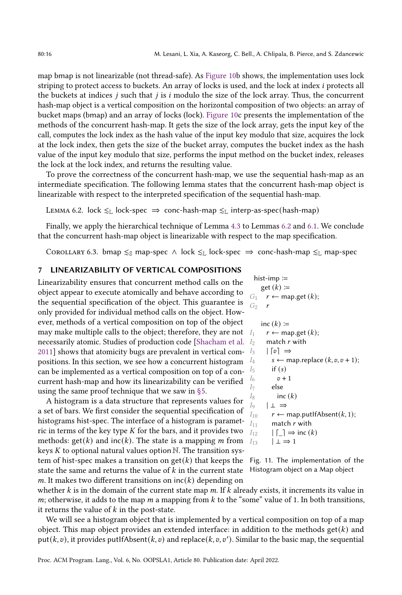map bmap is not linearizable (not thread-safe). As [Figure 10b](#page-13-0) shows, the implementation uses lock striping to protect access to buckets. An array of locks is used, and the lock at index *i* protects all the buckets at indices  $j$  such that  $j$  is  $i$  modulo the size of the lock array. Thus, the concurrent hash-map object is a vertical composition on the horizontal composition of two objects: an array of bucket maps (bmap) and an array of locks (lock). [Figure 10c](#page-13-0) presents the implementation of the methods of the concurrent hash-map. It gets the size of the lock array, gets the input key of the call, computes the lock index as the hash value of the input key modulo that size, acquires the lock at the lock index, then gets the size of the bucket array, computes the bucket index as the hash value of the input key modulo that size, performs the input method on the bucket index, releases the lock at the lock index, and returns the resulting value.

To prove the correctness of the concurrent hash-map, we use the sequential hash-map as an intermediate specification. The following lemma states that the concurrent hash-map object is linearizable with respect to the interpreted specification of the sequential hash-map.

<span id="page-15-1"></span>LEMMA 6.2. lock  $\leq$ L lock-spec  $\Rightarrow$  conc-hash-map  $\leq$ L interp-as-spec(hash-map)

Finally, we apply the hierarchical technique of Lemma [4.3](#page-10-0) to Lemmas [6.2](#page-15-1) and [6.1.](#page-14-1) We conclude that the concurrent hash-map object is linearizable with respect to the map specification.

Corollary 6.3. bmap  $\leq_{\mathbb{S}}$  map-spec  $\wedge$  lock  $\leq_{\mathbb{L}}$  lock-spec  $\Rightarrow$  conc-hash-map  $\leq_{\mathbb{L}}$  map-spec

#### <span id="page-15-0"></span>7 LINEARIZABILITY OF VERTICAL COMPOSITIONS

[2011\]](#page-29-6) shows that atomicity bugs are prevalent in vertical com-  $I_3$  |  $\lceil v \rceil \Rightarrow$ Linearizability ensures that concurrent method calls on the object appear to execute atomically and behave according to the sequential specification of the object. This guarantee is only provided for individual method calls on the object. However, methods of a vertical composition on top of the object may make multiple calls to the object; therefore, they are not  $I_1$ necessarily atomic. Studies of production code [\[Shacham et al.](#page-29-6) 12] positions. In this section, we see how a concurrent histogram can be implemented as a vertical composition on top of a concurrent hash-map and how its linearizability can be verified using the same proof technique that we saw in [ğ5.](#page-11-0)

tem of hist-spec makes a transition on get( $k$ ) that keeps the Fig. 11. The implementation of the state the same and returns the value of  $k$  in the current state Histogram object on a Map object A histogram is a data structure that represents values for a set of bars. We first consider the sequential specification of histograms hist-spec. The interface of a histogram is parametric in terms of the key type  $K$  for the bars, and it provides two methods:  $get(k)$  and  $inc(k)$ . The state is a mapping *m* from keys  $K$  to optional natural values option  $N$ . The transition sysm. It makes two different transitions on  $inc(k)$  depending on

<span id="page-15-2"></span>

|                | hist-imp :=                                  |
|----------------|----------------------------------------------|
|                | get $(k)$ :=                                 |
|                | $G_1$ $r \leftarrow$ map.get $(k)$ ;         |
| $G_2$ r        |                                              |
|                |                                              |
|                | inc $(k) \coloneqq$                          |
| $I_1$          | $r \leftarrow$ map.get $(k)$ ;               |
| $I_2$          | match $r$ with                               |
|                | $I_3$ $ v  \Rightarrow$                      |
| $I_4$          | $s \leftarrow$ map.replace $(k, v, v + 1)$ ; |
| $I_5$          | if $(s)$                                     |
| I6             | $v+1$                                        |
| I <sub>7</sub> | else                                         |
| $I_8$          | inc $(k)$                                    |
|                | $I_9 \qquad \perp \Rightarrow$               |
| $I_{10}$       | $r \leftarrow$ map.putlfAbsent(k, 1);        |
| $I_{11}$       | match r with                                 |
| $I_{12}$       | $ \Gamma  \Rightarrow \text{inc}(k)$         |
| $I_{12}$       | $\perp \Rightarrow 1$                        |

whether  $k$  is in the domain of the current state map  $m$ . If  $k$  already exists, it increments its value in  $m$ ; otherwise, it adds to the map  $m$  a mapping from  $k$  to the "some" value of 1. In both transitions, it returns the value of  $k$  in the post-state.

We will see a histogram object that is implemented by a vertical composition on top of a map object. This map object provides an extended interface: in addition to the methods get( $k$ ) and put( $k$ ,  $v$ ), it provides putIfAbsent( $k$ ,  $v$ ) and replace( $k$ ,  $v$ ,  $v'$ ). Similar to the basic map, the sequential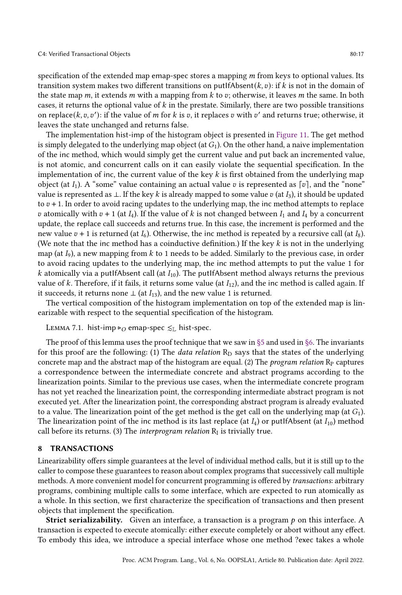specification of the extended map emap-spec stores a mapping  $m$  from keys to optional values. Its transition system makes two different transitions on putIfAbsent $(k, v)$ : if k is not in the domain of the state map  $m$ , it extends  $m$  with a mapping from  $k$  to  $v$ ; otherwise, it leaves  $m$  the same. In both cases, it returns the optional value of  $k$  in the prestate. Similarly, there are two possible transitions on replace $(k, v, v')$ : if the value of m for k is  $v$ , it replaces  $v$  with  $v'$  and returns true; otherwise, it leaves the state unchanged and returns false.

The implementation hist-imp of the histogram object is presented in [Figure 11.](#page-15-2) The get method is simply delegated to the underlying map object (at  $G_1$ ). On the other hand, a naive implementation of the inc method, which would simply get the current value and put back an incremented value, is not atomic, and concurrent calls on it can easily violate the sequential specification. In the implementation of inc, the current value of the key  $k$  is first obtained from the underlying map object (at  $I_1$ ). A "some" value containing an actual value v is represented as [v], and the "none" value is represented as ⊥. If the key k is already mapped to some value  $v$  (at  $I_3$ ), it should be updated to  $v + 1$ . In order to avoid racing updates to the underlying map, the inc method attempts to replace v atomically with  $v + 1$  (at  $I_4$ ). If the value of k is not changed between  $I_1$  and  $I_4$  by a concurrent update, the replace call succeeds and returns true. In this case, the increment is performed and the new value  $v + 1$  is returned (at  $I_6$ ). Otherwise, the inc method is repeated by a recursive call (at  $I_8$ ). (We note that the inc method has a coinductive definition.) If the key  $k$  is not in the underlying map (at  $I_9$ ), a new mapping from k to 1 needs to be added. Similarly to the previous case, in order to avoid racing updates to the underlying map, the inc method attempts to put the value 1 for k atomically via a putIfAbsent call (at  $I_{10}$ ). The putIfAbsent method always returns the previous value of k. Therefore, if it fails, it returns some value (at  $I_{12}$ ), and the inc method is called again. If it succeeds, it returns none ⊥ (at  $I_{13}$ ), and the new value 1 is returned.

The vertical composition of the histogram implementation on top of the extended map is linearizable with respect to the sequential specification of the histogram.

LEMMA 7.1. hist-imp ⊳<sub>O</sub> emap-spec  $\leq_L$  hist-spec.

The proof of this lemma uses the proof technique that we saw in  $\S 5$  and used in  $\S 6$ . The invariants for this proof are the following: (1) The *data relation*  $R_D$  says that the states of the underlying concrete map and the abstract map of the histogram are equal. (2) The *program relation*  $R<sub>P</sub>$  captures a correspondence between the intermediate concrete and abstract programs according to the linearization points. Similar to the previous use cases, when the intermediate concrete program has not yet reached the linearization point, the corresponding intermediate abstract program is not executed yet. After the linearization point, the corresponding abstract program is already evaluated to a value. The linearization point of the get method is the get call on the underlying map (at  $G_1$ ). The linearization point of the inc method is its last replace (at  $I_4$ ) or putIfAbsent (at  $I_{10}$ ) method call before its returns. (3) The *interprogram relation*  $\rm R_I$  is trivially true.

#### <span id="page-16-0"></span>8 TRANSACTIONS

Linearizability offers simple guarantees at the level of individual method calls, but it is still up to the caller to compose these guarantees to reason about complex programs that successively call multiple methods. A more convenient model for concurrent programming is offered by transactions: arbitrary programs, combining multiple calls to some interface, which are expected to run atomically as a whole. In this section, we first characterize the specification of transactions and then present objects that implement the specification.

**Strict serializability.** Given an interface, a transaction is a program  $p$  on this interface. A transaction is expected to execute atomically: either execute completely or abort without any effect. To embody this idea, we introduce a special interface whose one method ?exec takes a whole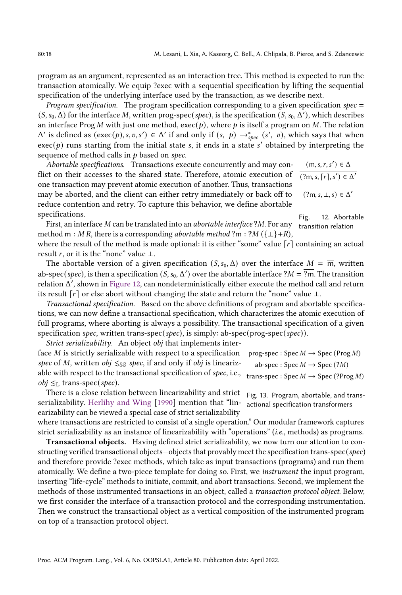program as an argument, represented as an interaction tree. This method is expected to run the transaction atomically. We equip ?exec with a sequential specification by lifting the sequential specification of the underlying interface used by the transaction, as we describe next.

*Program specification.* The program specification corresponding to a given specification spec  $=$  $(S, s_0, \Delta)$  for the interface M, written prog-spec(spec), is the specification  $(S, s_0, \Delta')$ , which describes an interface Prog M with just one method,  $\text{exec}(p)$ , where p is itself a program on M. The relation  $\Delta'$  is defined as  $(\text{exec}(p), s, v, s') \in \Delta'$  if and only if  $(s, p) \rightarrow_{spec}^s (s', v)$ , which says that when exec(p) runs starting from the initial state s, it ends in a state s' obtained by interpreting the sequence of method calls in  $p$  based on spec.

Abortable specifications. Transactions execute concurrently and may conflict on their accesses to the shared state. Therefore, atomic execution of one transaction may prevent atomic execution of another. Thus, transactions may be aborted, and the client can either retry immediately or back off to reduce contention and retry. To capture this behavior, we define abortable specifications.

<span id="page-17-0"></span> $(m, s, r, s') \in \Delta$  $(?m, s, \lceil r \rceil, s') \in \Delta'$  $(?m, s, \perp, s) \in \Delta'$ 

Fig. 12. Abortable

First, an interface M can be translated into an *abortable interface* ?M. For any transition relation method m : M R, there is a corresponding *abortable method* ?m : ?M ({ $\perp$ }+R),

where the result of the method is made optional: it is either "some" value  $\lceil r \rceil$  containing an actual result *r*, or it is the "none" value  $\perp$ .

The abortable version of a given specification  $(S, s_0, \Delta)$  over the interface  $M = \overline{m}$ , written ab-spec(spec), is then a specification  $(S, s_0, \Delta')$  over the abortable interface  $?M = \overline{?m}.$  The transition relation Δ ′ , shown in [Figure 12,](#page-17-0) can nondeterministically either execute the method call and return its result  $\lceil r \rceil$  or else abort without changing the state and return the "none" value ⊥.

Transactional specification. Based on the above definitions of program and abortable specifications, we can now define a transactional specification, which characterizes the atomic execution of full programs, where aborting is always a possibility. The transactional specification of a given specification spec, written trans-spec(spec), is simply: ab-spec(prog-spec(spec)).

Strict serializability. An object obj that implements inter-

face M is strictly serializable with respect to a specification spec of M, written obj  $\leq$ ss spec, if and only if obj is linearizable with respect to the transactional specification of spec, i.e.,  $\overline{a}$ *obj*  $≤$  $$>$  trans-spec(*spec*).$ 

<span id="page-17-1"></span>

| prog-spec : Spec $M \to$ Spec (Prog M)                 |  |
|--------------------------------------------------------|--|
| ab-spec : Spec $M \rightarrow$ Spec (?M)               |  |
| trans-spec : Spec $M \to \text{Spec} (?\text{Prog }M)$ |  |

There is a close relation between linearizability and strict Fig. 13. Program, abortable, and trans-serializability. [Herlihy and Wing](#page-28-5) [\[1990\]](#page-28-5) mention that "lin- actional specification transformers earizability can be viewed a special case of strict serializability

where transactions are restricted to consist of a single operation." Our modular framework captures strict serializability as an instance of linearizability with "operations" (i.e., methods) as programs.

Transactional objects. Having defined strict serializability, we now turn our attention to constructing verified transactional objects–objects that provably meet the specification trans-spec(spec) and therefore provide ?exec methods, which take as input transactions (programs) and run them atomically. We define a two-piece template for doing so. First, we instrument the input program, inserting "life-cycle" methods to initiate, commit, and abort transactions. Second, we implement the methods of those instrumented transactions in an object, called a transaction protocol object. Below, we first consider the interface of a transaction protocol and the corresponding instrumentation. Then we construct the transactional object as a vertical composition of the instrumented program on top of a transaction protocol object.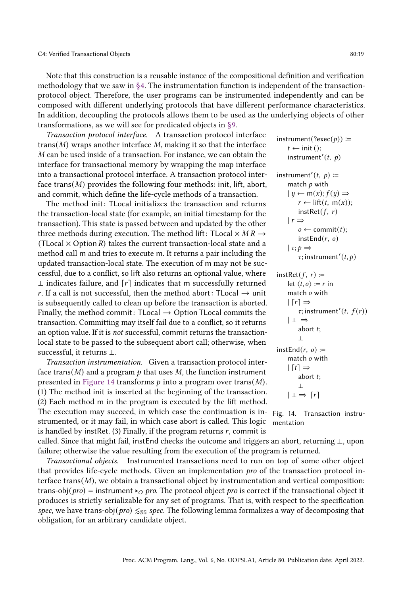Note that this construction is a reusable instance of the compositional definition and verification methodology that we saw in [ğ4.](#page-8-0) The instrumentation function is independent of the transactionprotocol object. Therefore, the user programs can be instrumented independently and can be composed with different underlying protocols that have different performance characteristics. In addition, decoupling the protocols allows them to be used as the underlying objects of other transformations, as we will see for predicated objects in [ğ9.](#page-20-0)

Transaction protocol interface. A transaction protocol interface trans( $M$ ) wraps another interface  $M$ , making it so that the interface M can be used inside of a transaction. For instance, we can obtain the interface for transactional memory by wrapping the map interface into a transactional protocol interface. A transaction protocol interface trans( $M$ ) provides the following four methods: init, lift, abort, and commit, which define the life-cycle methods of a transaction.

The method init: TLocal initializes the transaction and returns the transaction-local state (for example, an initial timestamp for the transaction). This state is passed between and updated by the other three methods during execution. The method lift: TLocal  $\times$  MR  $\rightarrow$ (TLocal  $\times$  Option R) takes the current transaction-local state and a method call m and tries to execute m. It returns a pair including the updated transaction-local state. The execution of m may not be successful, due to a conflict, so lift also returns an optional value, where  $\perp$  indicates failure, and  $\lceil r \rceil$  indicates that m successfully returned r. If a call is not successful, then the method abort: TLocal  $\rightarrow$  unit is subsequently called to clean up before the transaction is aborted. Finally, the method commit:  $TLocal \rightarrow Option TLocal$  commits the transaction. Committing may itself fail due to a conflict, so it returns an option value. If it is not successful, commit returns the transactionlocal state to be passed to the subsequent abort call; otherwise, when successful, it returns ⊥.

Transaction instrumentation. Given a transaction protocol interface trans(M) and a program  $p$  that uses M, the function instrument presented in [Figure 14](#page-18-0) transforms  $p$  into a program over trans(M). (1) The method init is inserted at the beginning of the transaction. (2) Each method m in the program is executed by the lift method. The execution may succeed, in which case the continuation is instrumented, or it may fail, in which case abort is called. This logic is handled by instRet. (3) Finally, if the program returns  $r$ , commit is called. Since that might fail, instEnd checks the outcome and triggers an abort, returning ⊥, upon failure; otherwise the value resulting from the execution of the program is returned.

<span id="page-18-1"></span>Transactional objects. Instrumented transactions need to run on top of some other object that provides life-cycle methods. Given an implementation pro of the transaction protocol interface  $trans(M)$ , we obtain a transactional object by instrumentation and vertical composition: trans-obj(*pro*) = instrument ⊳<sub>O</sub> pro. The protocol object pro is correct if the transactional object it produces is strictly serializable for any set of programs. That is, with respect to the specification spec, we have trans-obj(pro)  $\leq s$ spec. The following lemma formalizes a way of decomposing that obligation, for an arbitrary candidate object.

<span id="page-18-0"></span>instrument(?exec( $p$ ) ≔  $t \leftarrow \text{init}()$ ; instrument'(t,  $p$ ) instrument'(t,  $p$ ) := match  $p$  with  $| y \leftarrow m(x); f(y) \Rightarrow$  $r \leftarrow \text{lift}(t, m(x));$  $instRet(f, r)$  $|r \Rightarrow$  $o \leftarrow$  commit(*t*); instEnd $(r, o)$  $| \tau : p \Rightarrow$  $\tau$ ; instrument'(t, p)  $instRet(f, r) :=$ let  $\langle t, o \rangle := r$  in match  $o$  with  $| [r] \Rightarrow$  $\tau$ ; instrument'(t,  $f(r)$ )

$$
\begin{array}{r}\n1 - \rightarrow \\
\text{abort } t; \\
\text{instEnd}(r, o) := \\
\text{match } o \text{ with} \\
\mid [t] \Rightarrow \\
\text{abort } t; \\
\perp \\
\mid \perp \Rightarrow [r]\n\end{array}
$$

| ⊥ ⇒

Fig. 14. Transaction instrumentation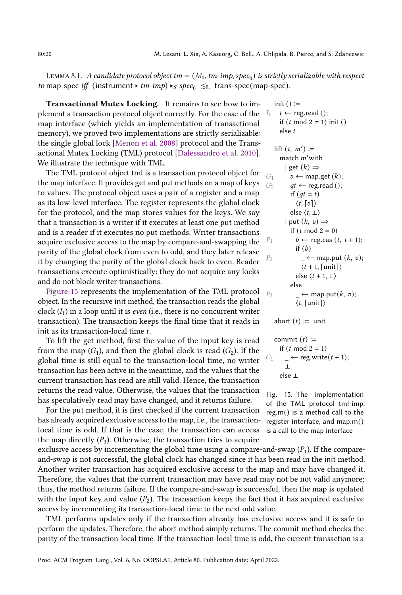LEMMA 8.1.  $\,A$  candidate protocol object tm  $=(M_0, \textit{tm-imp}, \textit{spec}_0)$  is strictly serializable with respect to map-spec iff (instrument  $\triangleright$  tm-imp)  $\triangleright_S$  spec<sub>0</sub>  $\leq$ <sub>L</sub> trans-spec(map-spec).

Transactional Mutex Locking. It remains to see how to implement a transaction protocol object correctly. For the case of the map interface (which yields an implementation of transactional memory), we proved two implementations are strictly serializable: the single global lock [\[Menon et al.](#page-29-7) [2008\]](#page-29-7) protocol and the Transactional Mutex Locking (TML) protocol [\[Dalessandro et al.](#page-27-5) [2010\]](#page-27-5). We illustrate the technique with TML.

The TML protocol object tml is a transaction protocol object for the map interface. It provides get and put methods on a map of keys to values. The protocol object uses a pair of a register and a map as its low-level interface. The register represents the global clock for the protocol, and the map stores values for the keys. We say that a transaction is a writer if it executes at least one put method and is a reader if it executes no put methods. Writer transactions acquire exclusive access to the map by compare-and-swapping the parity of the global clock from even to odd, and they later release it by changing the parity of the global clock back to even. Reader transactions execute optimistically: they do not acquire any locks and do not block writer transactions.

[Figure 15](#page-19-0) represents the implementation of the TML protocol  $_{\rm F}$ object. In the recursive init method, the transaction reads the global clock  $(I_1)$  in a loop until it is *even* (i.e., there is no concurrent writer transaction). The transaction keeps the final time that it reads in init as its transaction-local time  $t$ .

To lift the get method, first the value of the input key is read from the map  $(G_1)$ , and then the global clock is read  $(G_2)$ . If the global time is still equal to the transaction-local time, no writer transaction has been active in the meantime, and the values that the current transaction has read are still valid. Hence, the transaction returns the read value. Otherwise, the values that the transaction has speculatively read may have changed, and it returns failure.

For the put method, it is first checked if the current transaction has already acquired exclusive access to the map, i.e., the transactionlocal time is odd. If that is the case, the transaction can access the map directly  $(P_3)$ . Otherwise, the transaction tries to acquire

exclusive access by incrementing the global time using a compare-and-swap  $(P_1)$ . If the compareand-swap is not successful, the global clock has changed since it has been read in the init method. Another writer transaction has acquired exclusive access to the map and may have changed it. Therefore, the values that the current transaction may have read may not be not valid anymore; thus, the method returns failure. If the compare-and-swap is successful, then the map is updated with the input key and value  $(P_2)$ . The transaction keeps the fact that it has acquired exclusive access by incrementing its transaction-local time to the next odd value.

TML performs updates only if the transaction already has exclusive access and it is safe to perform the updates. Therefore, the abort method simply returns. The commit method checks the parity of the transaction-local time. If the transaction-local time is odd, the current transaction is a

<span id="page-19-0"></span>
$$
I_1 \quad t \leftarrow \text{reg.read }();
$$
\n
$$
I_1 \quad t \leftarrow \text{reg.read }();
$$
\n
$$
if (t \mod 2 = 1) \text{ init }()
$$
\n
$$
else \quad t
$$

\n lift 
$$
(t, m') :=
$$
  
\n match  $m' \text{ with}$   
\n $| \text{ get } (k) \Rightarrow$   
\n $0_1 \quad v \leftarrow \text{map.get } (k);$   
\n $G_2 \quad gt \leftarrow \text{reg.read }();$   
\n if  $(gt = t)$   
\n $\langle t, [v] \rangle$   
\n else  $\langle t, \perp \rangle$   
\n $| \text{ put } (k, v) \Rightarrow$   
\n if  $(t \mod 2 = 0)$   
\n $b \leftarrow \text{reg.cas } (t, t+1);$   
\n if  $(b)$   
\n $P_2 \quad \leftarrow \text{map.put } (k, v);$   
\n $\langle t+1, [\text{unit}] \rangle$   
\n else  $\langle t+1, \perp \rangle$   
\n else  
\n $P_3 \quad \leftarrow \text{map.put } (k, v);$   
\n $\langle t, [\text{unit}] \rangle$ \n

abort  $(t) :=$  unit

commit () ≔ if ( mod 2 = 1) 1 \_ ← reg.write( + 1); ⊥ else ⊥

Fig. 15. The implementation of the TML protocol tml-imp. reg.m() is a method call to the register interface, and map.m() is a call to the map interface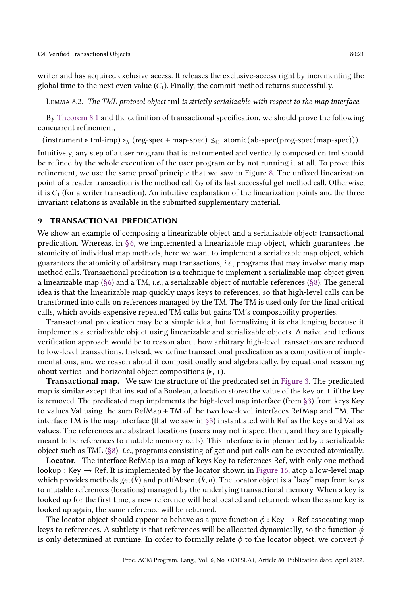writer and has acquired exclusive access. It releases the exclusive-access right by incrementing the global time to the next even value  $(C_1)$ . Finally, the commit method returns successfully.

Lemma 8.2. The TML protocol object tml is strictly serializable with respect to the map interface.

By [Theorem 8.1](#page-18-1) and the definition of transactional specification, we should prove the following concurrent refinement,

(instrument ⊳ tml-imp)  $\triangleright_S$  (reg-spec + map-spec)  $\leq_C$  atomic(ab-spec(prog-spec(map-spec)))

Intuitively, any step of a user program that is instrumented and vertically composed on tml should be refined by the whole execution of the user program or by not running it at all. To prove this refinement, we use the same proof principle that we saw in Figure [8.](#page-12-1) The unfixed linearization point of a reader transaction is the method call  $G_2$  of its last successful get method call. Otherwise, it is  $C_1$  (for a writer transaction). An intuitive explanation of the linearization points and the three invariant relations is available in the submitted supplementary material.

#### <span id="page-20-0"></span>9 TRANSACTIONAL PREDICATION

We show an example of composing a linearizable object and a serializable object: transactional predication. Whereas, in  $\S6$ , we implemented a linearizable map object, which guarantees the atomicity of individual map methods, here we want to implement a serializable map object, which guarantees the atomicity of arbitrary map transactions, i.e., programs that may involve many map method calls. Transactional predication is a technique to implement a serializable map object given a linearizable map (§6) and a TM, *i.e.*, a serializable object of mutable references (§8). The general idea is that the linearizable map quickly maps keys to references, so that high-level calls can be transformed into calls on references managed by the TM. The TM is used only for the final critical calls, which avoids expensive repeated TM calls but gains TM's composability properties.

Transactional predication may be a simple idea, but formalizing it is challenging because it implements a serializable object using linearizable and serializable objects. A naive and tedious verification approach would be to reason about how arbitrary high-level transactions are reduced to low-level transactions. Instead, we define transactional predication as a composition of implementations, and we reason about it compositionally and algebraically, by equational reasoning about vertical and horizontal object compositions  $(ิ$ 

Transactional map. We saw the structure of the predicated set in [Figure 3.](#page-5-0) The predicated map is similar except that instead of a Boolean, a location stores the value of the key or ⊥ if the key is removed. The predicated map implements the high-level map interface (from  $\S$ 3) from keys Key to values Val using the sum RefMap + TM of the two low-level interfaces RefMap and TM. The interface TM is the map interface (that we saw in [ğ3\)](#page-6-0) instantiated with Ref as the keys and Val as values. The references are abstract locations (users may not inspect them, and they are typically meant to be references to mutable memory cells). This interface is implemented by a serializable object such as TML [\(ğ8\)](#page-16-0), i.e., programs consisting of get and put calls can be executed atomically.

Locator. The interface RefMap is a map of keys Key to references Ref, with only one method lookup : Key  $\rightarrow$  Ref. It is implemented by the locator shown in [Figure 16,](#page-21-0) atop a low-level map which provides methods get(k) and putIfAbsent(k, v). The locator object is a "lazy" map from keys to mutable references (locations) managed by the underlying transactional memory. When a key is looked up for the first time, a new reference will be allocated and returned; when the same key is looked up again, the same reference will be returned.

The locator object should appear to behave as a pure function  $\phi$  : Key  $\rightarrow$  Ref assocating map keys to references. A subtlety is that references will be allocated dynamically, so the function  $\phi$ is only determined at runtime. In order to formally relate  $\phi$  to the locator object, we convert  $\phi$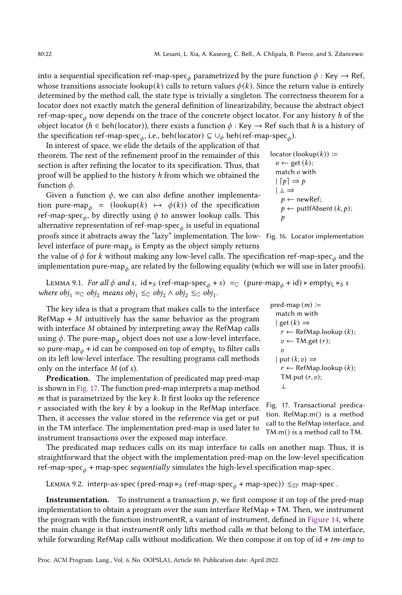into a sequential specification ref-map-spec $_{\phi}$  parametrized by the pure function  $\phi:$  Key  $\rightarrow$  Ref, whose transitions associate lookup(k) calls to return values  $\phi(k)$ . Since the return value is entirely determined by the method call, the state type is trivially a singleton. The correctness theorem for a locator does not exactly match the general definition of linearizability, because the abstract object ref-map-spec<sub>*t*0</sub> now depends on the trace of the concrete object locator. For any history *h* of the object locator ( $h \in \text{beh}(\text{locator})$ ), there exists a function  $\phi : \text{Key} \to \text{Ref}$  such that h is a history of the specification ref-map-spec $_\phi$ , i.e., beh(locator) ⊆  $\cup_\phi$  beh(ref-map-spec $_\phi$ ).

In interest of space, we elide the details of the application of that theorem. The rest of the refinement proof in the remainder of this section is after refining the locator to its specification. Thus, that proof will be applied to the history h from which we obtained the function  $\phi$ .

Given a function  $\phi$ , we can also define another implementation pure-map<sub> $\phi$ </sub> = (lookup(k)  $\mapsto$   $\phi(k)$ ) of the specification ref-map-spec $_\phi$ , by directly using  $\phi$  to answer lookup calls. This alternative representation of ref-map-spec $_\phi$  is useful in equational

<span id="page-21-0"></span>locator (lookup(k)) :=

\n
$$
o \leftarrow \text{get}(k);
$$

\nmatch  $o$  with

\n
$$
| [p] \Rightarrow p
$$

\n
$$
| \perp \Rightarrow
$$

\n
$$
p \leftarrow \text{newRef};
$$

\n
$$
p \leftarrow \text{putIfAbsent}(k, p);
$$

<span id="page-21-1"></span>pred-map  $(m) \coloneqq$ match  $m$  with  $|$  get  $(k) \Rightarrow$ 

 $\boldsymbol{v}$  $|$  put  $(k, v) \Rightarrow$ 

⊥

 $r \leftarrow \text{RefMap.lookup}(k);$  $v \leftarrow TM.get(r);$ 

 $r \leftarrow$  RefMap.lookup  $(k)$ ;

Fig. 17. Transactional predication. RefMap.m() is a method call to the RefMap interface, and TM.m() is a method call to TM.

TM.put  $(r, v)$ ;

proofs since it abstracts away the "lazy" implementation. The low- Fig. 16. Locator implementation level interface of pure-map $_\phi$  is Empty as the object simply returns

the value of  $\phi$  for  $k$  without making any low-level calls. The specification ref-map-spec $_\phi$  and the implementation pure-map $_\phi$  are related by the following equality (which we will use in later proofs).

<span id="page-21-2"></span>LEMMA 9.1. For all  $\phi$  and s, id ⊳<sub>S</sub> (ref-map-spec<sub> $\phi$ </sub> + s) = c (pure-map<sub> $\phi$ </sub> + id) ⊳ empty<sub>L</sub> ⊳<sub>S</sub> s where  $obj_1 =_{\mathbb{C}} obj_2$  means  $obj_1 \leq_{\mathbb{C}} obj_2 \wedge obj_2 \leq_{\mathbb{C}} obj_1$ .

The key idea is that a program that makes calls to the interface  $RefMap + M$  intuitively has the same behavior as the program with interface M obtained by interpreting away the RefMap calls using  $\phi.$  The pure-map $_\phi$  object does not use a low-level interface, so pure-map<sub> $\phi$ </sub> + id can be composed on top of empty<sub>L</sub> to filter calls on its left low-level interface. The resulting programs call methods only on the interface  $M$  (of  $s$ ).

Predication. The implementation of predicated map pred-map is shown in [Fig. 17.](#page-21-1) The function pred-map interprets a map method m that is parametrized by the key  $k$ . It first looks up the reference  $r$  associated with the key  $k$  by a lookup in the RefMap interface. Then, it accesses the value stored in the reference via get or put in the TM interface. The implementation pred-map is used later to instrument transactions over the exposed map interface.

The predicated map reduces calls on its map interface to calls on another map. Thus, it is straightforward that the object with the implementation pred-map on the low-level specification ref-map-spec<sub> $\phi$ </sub> + map-spec *sequentially* simulates the high-level specification map-spec.

<span id="page-21-3"></span>LEMMA 9.2. interp-as-spec (pred-map ⊳  $s$  (ref-map-spec  $\phi$  + map-spec))  $\leq s$  map-spec.

**Instrumentation.** To instrument a transaction  $p$ , we first compose it on top of the pred-map implementation to obtain a program over the sum interface RefMap + TM. Then, we instrument the program with the function instrumentR, a variant of instrument, defined in [Figure 14,](#page-18-0) where the main change is that instrumentR only lifts method calls  $m$  that belong to the TM interface, while forwarding RefMap calls without modification. We then compose it on top of  $id + tm-imp$  to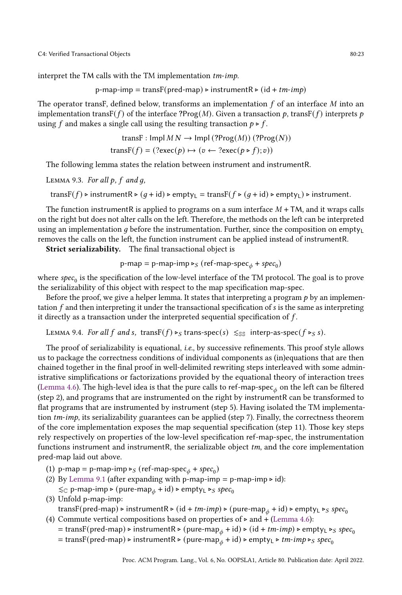interpret the TM calls with the TM implementation tm-imp.

p-map-imp = transF(pred-map) 
$$
\triangleright
$$
 instrumentR  $\triangleright$  (id + *tm-imp*)

The operator transF, defined below, transforms an implementation  $f$  of an interface  $M$  into an implementation transF( $f$ ) of the interface ?Prog(M). Given a transaction  $p$ , transF( $f$ ) interprets  $p$ using f and makes a single call using the resulting transaction  $p \triangleright f$ .

transF : Impl M N → Impl (?Prog(M)) (?Prog(N)) transF( ) = (?exec() ↦→ ( ← ?exec( ⊲ );))

The following lemma states the relation between instrument and instrumentR.

```
LEMMA 9.3. For all p, f and g,
```

```
transF(f) ⊳ instrumentR ⊳ (q + id) ⊳ empty<sub>L</sub> = transF(f ⊳ (q + id) ⊳ empty<sub>L</sub>) ⊳ instrument.
```
The function instrumentR is applied to programs on a sum interface  $M + TM$ , and it wraps calls on the right but does not alter calls on the left. Therefore, the methods on the left can be interpreted using an implementation  $q$  before the instrumentation. Further, since the composition on empty<sub>L</sub> removes the calls on the left, the function instrument can be applied instead of instrumentR.

Strict serializability. The final transactional object is

p-map = p-map-imp 
$$
\triangleright_S
$$
 (ref-map-specific $\phi$  + spec<sub>0</sub>)

where  $spec_0$  is the specification of the low-level interface of the TM protocol. The goal is to prove the serializability of this object with respect to the map specification map-spec.

Before the proof, we give a helper lemma. It states that interpreting a program  $p$  by an implementation  $f$  and then interpreting it under the transactional specification of  $s$  is the same as interpreting it directly as a transaction under the interpreted sequential specification of  $f$ .

<span id="page-22-1"></span>LEMMA 9.4. For all f and s, transF(f) ⊳s trans-spec(s)  $\leq_{\mathbb{S}}$  interp-as-spec(f ⊳s s).

The proof of serializability is equational, i.e., by successive refinements. This proof style allows us to package the correctness conditions of individual components as (in)equations that are then chained together in the final proof in well-delimited rewriting steps interleaved with some administrative simplifications or factorizations provided by the equational theory of interaction trees [\(Lemma 4.6\)](#page-11-1). The high-level idea is that the pure calls to ref-map-spec $_\phi$  on the left can be filtered (step 2), and programs that are instrumented on the right by instrumentR can be transformed to flat programs that are instrumented by instrument (step 5). Having isolated the TM implementation  $tm\text{-}imp$ , its serializability guarantees can be applied (step 7). Finally, the correctness theorem of the core implementation exposes the map sequential specification (step 11). Those key steps rely respectively on properties of the low-level specification ref-map-spec, the instrumentation functions instrument and instrumentR, the serializable object  $tm$ , and the core implementation pred-map laid out above.

- (1) p-map = p-map-imp  $\triangleright_S$  (ref-map-spec<sub> $\phi$ </sub> + spec<sub>0</sub>)
- (2) By [Lemma 9.1](#page-21-2) (after expanding with p-map-imp = p-map-imp  $\triangleright$  id):  $\leq_{\mathbb{C}}$  p-map-imp ⊳ (pure-map<sub>ó</sub> + id) ⊳ empty<sub>L</sub> ⊳<sub>S</sub> spec<sub>0</sub>
- (3) Unfold p-map-imp:

transF(pred-map) ⊳ instrumentR ⊳ (id + tm-imp) ⊳ (pure-map<sub>ó</sub> + id) ⊳ empty<sub>L</sub> ⊳<sub>S</sub> spec<sub>0</sub> (4) Commute vertical compositions based on properties of  $>$  and + [\(Lemma 4.6\)](#page-11-1):

- = transF(pred-map) ⊳ instrumentR ⊳ (pure-map<sub> $\phi$ </sub> + id) ⊳ (id + *tm-imp*) ⊳ empty<sub>L</sub> ⊳<sub>S</sub> spec<sub>0</sub>
	- = transF(pred-map) ⊳ instrumentR ⊳ (pure-map<sub> $\phi$ </sub> + id) ⊳ empty<sub>L</sub> ⊳ *tm-imp* ⊳ spec<sub>0</sub>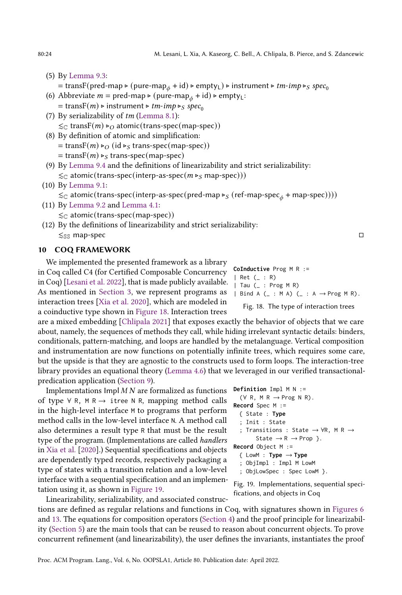(5) By [Lemma 9.3:](#page-22-0)

= transF(pred-map ⊳ (pure-map<sub>ø</sub> + id) ⊳ empty<sub>L</sub>) ⊳ instrument ⊳ *tm-imp* ⊳ spec<sub>0</sub>

- (6) Abbreviate  $m = \text{pred-map} \triangleright (\text{pure-map}_A + \text{id}) \triangleright \text{empty}_L$ :  $=$  transF(*m*) ⊳ instrument ⊳ *tm-imp* ⊳ *spec*<sub>0</sub>
- (7) By serializability of  $tm$  [\(Lemma 8.1\)](#page-18-1):  $\leq$  transF(*m*) ⊳ atomic(trans-spec(map-spec))
- (8) By definition of atomic and simplification:  $=$  transF(*m*) ⊳ (id ⊳<sub>S</sub> trans-spec(map-spec))
	- $=$  trans $F(m) \triangleright_S$  trans-spec(map-spec)
- (9) By [Lemma 9.4](#page-22-1) and the definitions of linearizability and strict serializability:  $\leq$  atomic(trans-spec(interp-as-spec( $m \triangleright_S$  map-spec)))
- (10) By [Lemma 9.1:](#page-21-2)

 $\lesssim_\mathbb{C}$ atomic(trans-spec(interp-as-spec(pred-map ⊳ $_S$ (ref-map-spec $_\phi+$ map-spec))))

- (11) By [Lemma 9.2](#page-21-3) and [Lemma 4.1:](#page-9-0)  $\leq_{\mathbb{C}}$  atomic(trans-spec(map-spec))
- (12) By the definitions of linearizability and strict serializability:  $\lesssim_{\mathbb{S}\mathbb{S}}$  map-spec  $\Box$

#### 10 COQ FRAMEWORK

We implemented the presented framework as a library in Coq called C4 (for Certified Composable Concurrency in Coq) [\[Lesani et al.](#page-28-4) [2022\]](#page-28-4), that is made publicly available. As mentioned in [Section 3,](#page-6-0) we represent programs as interaction trees [\[Xia et al.](#page-29-2) [2020\]](#page-29-2), which are modeled in a coinductive type shown in [Figure 18.](#page-23-0) Interaction trees

are a mixed embedding [\[Chlipala 2021\]](#page-27-6) that exposes exactly the behavior of objects that we care about, namely, the sequences of methods they call, while hiding irrelevant syntactic details: binders, conditionals, pattern-matching, and loops are handled by the metalanguage. Vertical composition and instrumentation are now functions on potentially infinite trees, which requires some care, but the upside is that they are agnostic to the constructs used to form loops. The interaction-tree library provides an equational theory [\(Lemma 4.6\)](#page-11-1) that we leveraged in our verified transactionalpredication application [\(Section 9\)](#page-20-0).

Implementations  $\text{Impl } M N$  are formalized as functions of type ∀ R, M R  $\rightarrow$  itree N R, mapping method calls in the high-level interface M to programs that perform method calls in the low-level interface N. A method call also determines a result type R that must be the result type of the program. (Implementations are called handlers in [Xia et al.](#page-29-2) [\[2020\]](#page-29-2).) Sequential specifications and objects are dependently typed records, respectively packaging a type of states with a transition relation and a low-level interface with a sequential specification and an implementation using it, as shown in [Figure 19.](#page-23-1)

Linearizability, serializability, and associated constructions are defined as regular relations and functions in Coq, with signatures shown in [Figures 6](#page-9-1) and [13.](#page-17-1) The equations for composition operators [\(Section 4\)](#page-8-0) and the proof principle for linearizability [\(Section 5\)](#page-11-0) are the main tools that can be reused to reason about concurrent objects. To prove concurrent refinement (and linearizability), the user defines the invariants, instantiates the proof

<span id="page-23-0"></span>**CoInductive** Prog M R := | Ret (\_ : R) | Tau (\_ : Prog M R) | Bind A ( $\_$  : M A) ( $\_$  : A  $\rightarrow$  Prog M R).

Fig. 18. The type of interaction trees

```
Definition Impl M N :=
  (\forall R, M R \rightarrow Prog N R).
Record Spec M :=
  { State : Type
  ; Init : State
  ; Transitions : State → ∀R, M R →
        State \rightarrow R \rightarrow Prop }.
Record Object M :=
  \{ LowM : Type \rightarrow Type; ObjImpl : Impl M LowM
  ; ObjLowSpec : Spec LowM }.
```
Fig. 19. Implementations, sequential specifications, and objects in Coq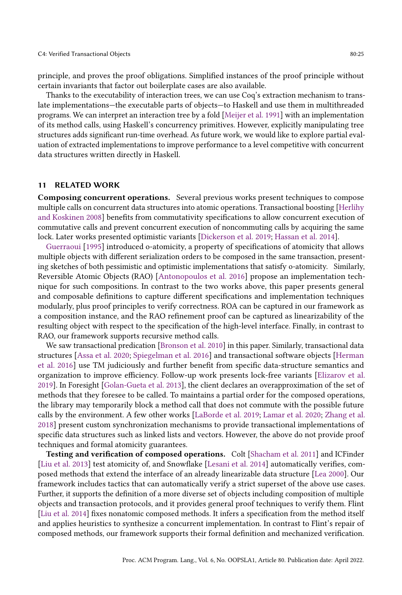principle, and proves the proof obligations. Simplified instances of the proof principle without certain invariants that factor out boilerplate cases are also available.

Thanks to the executability of interaction trees, we can use Coq's extraction mechanism to translate implementations—the executable parts of objects—to Haskell and use them in multithreaded programs. We can interpret an interaction tree by a fold [\[Meijer et al.](#page-29-8) [1991\]](#page-29-8) with an implementation of its method calls, using Haskell's concurrency primitives. However, explicitly manipulating tree structures adds significant run-time overhead. As future work, we would like to explore partial evaluation of extracted implementations to improve performance to a level competitive with concurrent data structures written directly in Haskell.

#### <span id="page-24-0"></span>11 RELATED WORK

Composing concurrent operations. Several previous works present techniques to compose multiple calls on concurrent data structures into atomic operations. Transactional boosting [\[Herlihy](#page-28-6) [and Koskinen 2008\]](#page-28-6) benefits from commutativity specifications to allow concurrent execution of commutative calls and prevent concurrent execution of noncommuting calls by acquiring the same lock. Later works presented optimistic variants [\[Dickerson et al. 2019;](#page-27-7) [Hassan et al. 2014\]](#page-28-7).

[Guerraoui](#page-27-8) [\[1995\]](#page-27-8) introduced o-atomicity, a property of specifications of atomicity that allows multiple objects with different serialization orders to be composed in the same transaction, presenting sketches of both pessimistic and optimistic implementations that satisfy o-atomicity. Similarly, Reversible Atomic Objects (RAO) [\[Antonopoulos et al.](#page-27-9) [2016\]](#page-27-9) propose an implementation technique for such compositions. In contrast to the two works above, this paper presents general and composable definitions to capture different specifications and implementation techniques modularly, plus proof principles to verify correctness. ROA can be captured in our framework as a composition instance, and the RAO refinement proof can be captured as linearizability of the resulting object with respect to the specification of the high-level interface. Finally, in contrast to RAO, our framework supports recursive method calls.

We saw transactional predication [\[Bronson et al.](#page-27-2) [2010\]](#page-27-2) in this paper. Similarly, transactional data structures [\[Assa et al.](#page-27-0) [2020;](#page-27-0) [Spiegelman et al.](#page-29-0) [2016\]](#page-29-0) and transactional software objects [\[Herman](#page-28-8) [et al.](#page-28-8) [2016\]](#page-28-8) use TM judiciously and further benefit from specific data-structure semantics and organization to improve efficiency. Follow-up work presents lock-free variants [\[Elizarov et al.](#page-27-1) [2019\]](#page-27-1). In Foresight [\[Golan-Gueta et al.](#page-27-10) [2013\]](#page-27-10), the client declares an overapproximation of the set of methods that they foresee to be called. To maintains a partial order for the composed operations, the library may temporarily block a method call that does not commute with the possible future calls by the environment. A few other works [\[LaBorde et al.](#page-28-9) [2019;](#page-28-9) [Lamar et al.](#page-28-10) [2020;](#page-28-10) [Zhang et al.](#page-30-1) [2018\]](#page-30-1) present custom synchronization mechanisms to provide transactional implementations of specific data structures such as linked lists and vectors. However, the above do not provide proof techniques and formal atomicity guarantees.

Testing and verification of composed operations. Colt [\[Shacham et al.](#page-29-6) [2011\]](#page-29-6) and ICFinder [\[Liu et al.](#page-28-11) [2013\]](#page-28-11) test atomicity of, and Snowflake [\[Lesani et al.](#page-28-12) [2014\]](#page-28-12) automatically verifies, composed methods that extend the interface of an already linearizable data structure [\[Lea 2000\]](#page-28-13). Our framework includes tactics that can automatically verify a strict superset of the above use cases. Further, it supports the definition of a more diverse set of objects including composition of multiple objects and transaction protocols, and it provides general proof techniques to verify them. Flint [\[Liu et al.](#page-29-9) [2014\]](#page-29-9) fixes nonatomic composed methods. It infers a specification from the method itself and applies heuristics to synthesize a concurrent implementation. In contrast to Flint's repair of composed methods, our framework supports their formal definition and mechanized verification.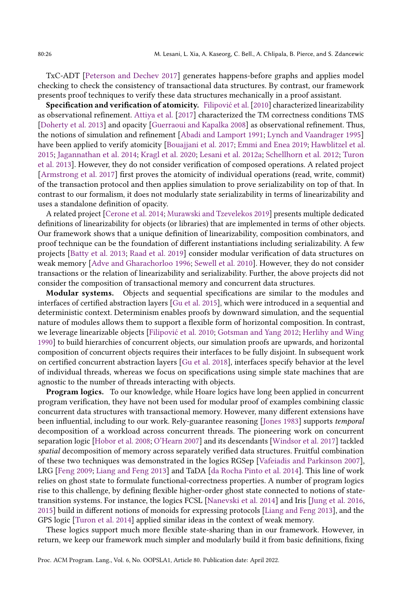TxC-ADT [\[Peterson and Dechev 2017\]](#page-29-10) generates happens-before graphs and applies model checking to check the consistency of transactional data structures. By contrast, our framework presents proof techniques to verify these data structures mechanically in a proof assistant.

Specification and verification of atomicity. [Filipović et al.](#page-27-11) [\[2010\]](#page-27-11) characterized linearizability as observational refinement. [Attiya et al.](#page-27-12) [\[2017\]](#page-27-12) characterized the TM correctness conditions TMS [\[Doherty et al.](#page-27-3) [2013\]](#page-27-3) and opacity [\[Guerraoui and Kapalka 2008\]](#page-27-4) as observational refinement. Thus, the notions of simulation and refinement [\[Abadi and Lamport 1991;](#page-27-13) [Lynch and Vaandrager 1995\]](#page-29-11) have been applied to verify atomicity [\[Bouajjani et al.](#page-27-14) [2017;](#page-27-14) [Emmi and Enea 2019;](#page-27-15) [Hawblitzel et al.](#page-28-14) [2015;](#page-28-14) [Jagannathan et al.](#page-28-15) [2014;](#page-28-15) [Kragl et al.](#page-28-16) [2020;](#page-28-16) [Lesani et al.](#page-28-17) [2012a;](#page-28-17) [Schellhorn et al.](#page-29-12) [2012;](#page-29-12) [Turon](#page-29-13) [et al.](#page-29-13) [2013\]](#page-29-13). However, they do not consider verification of composed operations. A related project [\[Armstrong et al.](#page-27-16) [2017\]](#page-27-16) first proves the atomicity of individual operations (read, write, commit) of the transaction protocol and then applies simulation to prove serializability on top of that. In contrast to our formalism, it does not modularly state serializability in terms of linearizability and uses a standalone definition of opacity.

A related project [\[Cerone et al.](#page-27-17) [2014;](#page-27-17) [Murawski and Tzevelekos 2019\]](#page-29-14) presents multiple dedicated definitions of linearizability for objects (or libraries) that are implemented in terms of other objects. Our framework shows that a unique definition of linearizability, composition combinators, and proof technique can be the foundation of different instantiations including serializability. A few projects [\[Batty et al.](#page-27-18) [2013;](#page-27-18) [Raad et al.](#page-29-15) [2019\]](#page-29-15) consider modular verification of data structures on weak memory [\[Adve and Gharachorloo 1996;](#page-27-19) [Sewell et al.](#page-29-16) [2010\]](#page-29-16). However, they do not consider transactions or the relation of linearizability and serializability. Further, the above projects did not consider the composition of transactional memory and concurrent data structures.

Modular systems. Objects and sequential specifications are similar to the modules and interfaces of certified abstraction layers [\[Gu et al.](#page-27-20) [2015\]](#page-27-20), which were introduced in a sequential and deterministic context. Determinism enables proofs by downward simulation, and the sequential nature of modules allows them to support a flexible form of horizontal composition. In contrast, we leverage linearizable objects [\[Filipović et al.](#page-27-11) [2010;](#page-27-11) [Gotsman and Yang 2012;](#page-27-21) [Herlihy and Wing](#page-28-5) [1990\]](#page-28-5) to build hierarchies of concurrent objects, our simulation proofs are upwards, and horizontal composition of concurrent objects requires their interfaces to be fully disjoint. In subsequent work on certified concurrent abstraction layers [\[Gu et al.](#page-27-22) [2018\]](#page-27-22), interfaces specify behavior at the level of individual threads, whereas we focus on specifications using simple state machines that are agnostic to the number of threads interacting with objects.

Program logics. To our knowledge, while Hoare logics have long been applied in concurrent program verification, they have not been used for modular proof of examples combining classic concurrent data structures with transactional memory. However, many different extensions have been influential, including to our work. Rely-guarantee reasoning [\[Jones 1983\]](#page-28-18) supports temporal decomposition of a workload across concurrent threads. The pioneering work on concurrent separation logic [\[Hobor et al.](#page-28-19) [2008;](#page-28-19) [O'Hearn 2007\]](#page-29-17) and its descendants [\[Windsor et al.](#page-29-18) [2017\]](#page-29-18) tackled spatial decomposition of memory across separately verified data structures. Fruitful combination of these two techniques was demonstrated in the logics RGSep [\[Vafeiadis and Parkinson 2007\]](#page-29-19), LRG [\[Feng 2009;](#page-27-23) [Liang and Feng 2013\]](#page-28-20) and TaDA [\[da Rocha Pinto et al.](#page-27-24) [2014\]](#page-27-24). This line of work relies on ghost state to formulate functional-correctness properties. A number of program logics rise to this challenge, by defining flexible higher-order ghost state connected to notions of statetransition systems. For instance, the logics FCSL [\[Nanevski et al.](#page-29-20) [2014\]](#page-29-20) and Iris [\[Jung et al.](#page-28-21) [2016,](#page-28-21) [2015\]](#page-28-22) build in different notions of monoids for expressing protocols [\[Liang and Feng 2013\]](#page-28-20), and the GPS logic [\[Turon et al. 2014\]](#page-29-21) applied similar ideas in the context of weak memory.

These logics support much more flexible state-sharing than in our framework. However, in return, we keep our framework much simpler and modularly build it from basic definitions, fixing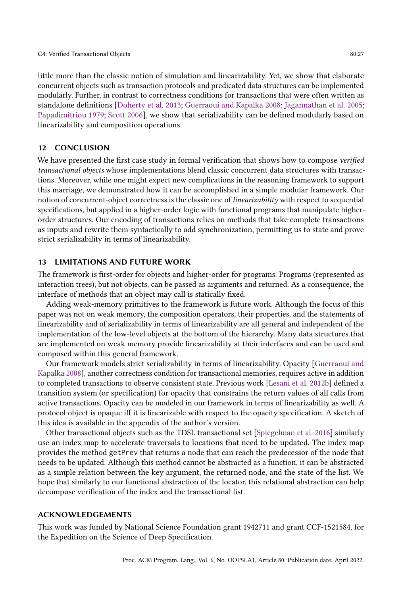little more than the classic notion of simulation and linearizability. Yet, we show that elaborate concurrent objects such as transaction protocols and predicated data structures can be implemented modularly. Further, in contrast to correctness conditions for transactions that were often written as standalone definitions [\[Doherty et al.](#page-27-3) [2013;](#page-27-3) [Guerraoui and Kapalka 2008;](#page-27-4) [Jagannathan et al.](#page-28-2) [2005;](#page-28-2) [Papadimitriou 1979;](#page-29-3) [Scott 2006\]](#page-29-4), we show that serializability can be defined modularly based on linearizability and composition operations.

#### <span id="page-26-0"></span>12 CONCLUSION

We have presented the first case study in formal verification that shows how to compose verified transactional objects whose implementations blend classic concurrent data structures with transactions. Moreover, while one might expect new complications in the reasoning framework to support this marriage, we demonstrated how it can be accomplished in a simple modular framework. Our notion of concurrent-object correctness is the classic one of linearizability with respect to sequential specifications, but applied in a higher-order logic with functional programs that manipulate higherorder structures. Our encoding of transactions relies on methods that take complete transactions as inputs and rewrite them syntactically to add synchronization, permitting us to state and prove strict serializability in terms of linearizability.

#### 13 LIMITATIONS AND FUTURE WORK

The framework is first-order for objects and higher-order for programs. Programs (represented as interaction trees), but not objects, can be passed as arguments and returned. As a consequence, the interface of methods that an object may call is statically fixed.

Adding weak-memory primitives to the framework is future work. Although the focus of this paper was not on weak memory, the composition operators, their properties, and the statements of linearizability and of serializability in terms of linearizability are all general and independent of the implementation of the low-level objects at the bottom of the hierarchy. Many data structures that are implemented on weak memory provide linearizability at their interfaces and can be used and composed within this general framework.

Our framework models strict serializability in terms of linearizability. Opacity [\[Guerraoui and](#page-27-4) [Kapalka 2008\]](#page-27-4), another correctness condition for transactional memories, requires active in addition to completed transactions to observe consistent state. Previous work [\[Lesani et al.](#page-28-23) [2012b\]](#page-28-23) defined a transition system (or specification) for opacity that constrains the return values of all calls from active transactions. Opacity can be modeled in our framework in terms of linearizability as well. A protocol object is opaque iff it is linearizable with respect to the opacity specification. A sketch of this idea is available in the appendix of the author's version.

Other transactional objects such as the TDSL transactional set [\[Spiegelman et al.](#page-29-0) [2016\]](#page-29-0) similarly use an index map to accelerate traversals to locations that need to be updated. The index map provides the method getPrev that returns a node that can reach the predecessor of the node that needs to be updated. Although this method cannot be abstracted as a function, it can be abstracted as a simple relation between the key argument, the returned node, and the state of the list. We hope that similarly to our functional abstraction of the locator, this relational abstraction can help decompose verification of the index and the transactional list.

#### ACKNOWLEDGEMENTS

This work was funded by National Science Foundation grant 1942711 and grant CCF-1521584, for the Expedition on the Science of Deep Specification.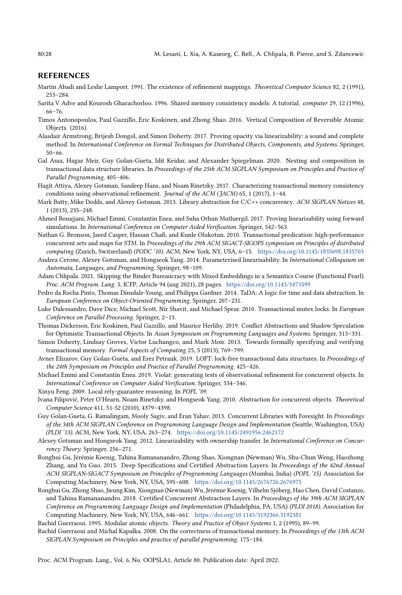#### REFERENCES

- <span id="page-27-13"></span>Martín Abadi and Leslie Lamport. 1991. The existence of refinement mappings. Theoretical Computer Science 82, 2 (1991),  $253 - 284.$
- <span id="page-27-19"></span>Sarita V Adve and Kourosh Gharachorloo. 1996. Shared memory consistency models: A tutorial. computer 29, 12 (1996), 66-76
- <span id="page-27-9"></span>Timos Antonopoulos, Paul Gazzillo, Eric Koskinen, and Zhong Shao. 2016. Vertical Composition of Reversible Atomic Objects. (2016).
- <span id="page-27-16"></span>Alasdair Armstrong, Brijesh Dongol, and Simon Doherty. 2017. Proving opacity via linearizability: a sound and complete method. In International Conference on Formal Techniques for Distributed Objects, Components, and Systems. Springer,  $50 - 66$
- <span id="page-27-0"></span>Gal Assa, Hagar Meir, Guy Golan-Gueta, Idit Keidar, and Alexander Spiegelman. 2020. Nesting and composition in transactional data structure libraries. In Proceedings of the 25th ACM SIGPLAN Symposium on Principles and Practice of Parallel Programming. 405-406.
- <span id="page-27-12"></span>Hagit Attiya, Alexey Gotsman, Sandeep Hans, and Noam Rinetzky. 2017. Characterizing transactional memory consistency conditions using observational refinement. Journal of the ACM (JACM) 65, 1 (2017), 1-44.
- <span id="page-27-18"></span>Mark Batty, Mike Dodds, and Alexey Gotsman. 2013. Library abstraction for C/C++ concurrency. ACM SIGPLAN Notices 48, 1 (2013), 235-248.
- <span id="page-27-14"></span>Ahmed Bouajjani, Michael Emmi, Constantin Enea, and Suha Orhun Mutluergil. 2017. Proving linearizability using forward simulations. In International Conference on Computer Aided Verification. Springer, 542-563.
- <span id="page-27-2"></span>Nathan G. Bronson, Jared Casper, Hassan Chafi, and Kunle Olukotun. 2010. Transactional predication: high-performance concurrent sets and maps for STM. In Proceedings of the 29th ACM SIGACT-SIGOPS symposium on Principles of distributed computing (Zurich, Switzerland) (PODC '10). ACM, New York, NY, USA, 6-15. <https://doi.org/10.1145/1835698.1835703>
- <span id="page-27-17"></span>Andrea Cerone, Alexey Gotsman, and Hongseok Yang. 2014. Parameterised linearisability. In International Colloquium on Automata, Languages, and Programming. Springer, 98-109.
- <span id="page-27-6"></span>Adam Chlipala. 2021. Skipping the Binder Bureaucracy with Mixed Embeddings in a Semantics Course (Functional Pearl). Proc. ACM Program. Lang. 5, ICFP, Article 94 (aug 2021), 28 pages. <https://doi.org/10.1145/3473599>
- <span id="page-27-24"></span>Pedro da Rocha Pinto, Thomas Dinsdale-Young, and Philippa Gardner. 2014. TaDA: A logic for time and data abstraction. In European Conference on Object-Oriented Programming. Springer, 207-231.
- <span id="page-27-5"></span>Luke Dalessandro, Dave Dice, Michael Scott, Nir Shavit, and Michael Spear. 2010. Transactional mutex locks. In European Conference on Parallel Processing. Springer, 2-13.

<span id="page-27-7"></span>Thomas Dickerson, Eric Koskinen, Paul Gazzillo, and Maurice Herlihy. 2019. Conflict Abstractions and Shadow Speculation for Optimistic Transactional Objects. In Asian Symposium on Programming Languages and Systems. Springer, 313-331.

- <span id="page-27-3"></span>Simon Doherty, Lindsay Groves, Victor Luchangco, and Mark Moir. 2013. Towards formally specifying and verifying transactional memory. Formal Aspects of Computing 25, 5 (2013), 769-799.
- <span id="page-27-1"></span>Avner Elizarov, Guy Golan-Gueta, and Erez Petrank. 2019. LOFT: lock-free transactional data structures. In Proceedings of the 24th Symposium on Principles and Practice of Parallel Programming. 425-426.
- <span id="page-27-15"></span>Michael Emmi and Constantin Enea. 2019. Violat: generating tests of observational refinement for concurrent objects. In International Conference on Computer Aided Verification. Springer, 534-546.
- <span id="page-27-23"></span>Xinyu Feng. 2009. Local rely-guarantee reasoning. In POPL '09.
- <span id="page-27-11"></span>Ivana Filipović, Peter O'Hearn, Noam Rinetzky, and Hongseok Yang. 2010. Abstraction for concurrent objects. Theoretical Computer Science 411, 51-52 (2010), 4379-4398.
- <span id="page-27-10"></span>Guy Golan-Gueta, G. Ramalingam, Mooly Sagiv, and Eran Yahav. 2013. Concurrent Libraries with Foresight. In Proceedings of the 34th ACM SIGPLAN Conference on Programming Language Design and Implementation (Seattle, Washington, USA) (PLDI '13). ACM, New York, NY, USA, 263-274. <https://doi.org/10.1145/2491956.2462172>
- <span id="page-27-21"></span>Alexey Gotsman and Hongseok Yang. 2012. Linearizability with ownership transfer. In International Conference on Concurrency Theory. Springer, 256-271.
- <span id="page-27-20"></span>Ronghui Gu, Jérémie Koenig, Tahina Ramananandro, Zhong Shao, Xiongnan (Newman) Wu, Shu-Chun Weng, Haozhong Zhang, and Yu Guo. 2015. Deep Specifications and Certified Abstraction Layers. In Proceedings of the 42nd Annual ACM SIGPLAN-SIGACT Symposium on Principles of Programming Languages (Mumbai, India) (POPL '15). Association for Computing Machinery, New York, NY, USA, 595-608. <https://doi.org/10.1145/2676726.2676975>
- <span id="page-27-22"></span>Ronghui Gu, Zhong Shao, Jieung Kim, Xiongnan (Newman) Wu, Jérémie Koenig, Vilhelm Sjöberg, Hao Chen, David Costanzo, and Tahina Ramananandro. 2018. Certified Concurrent Abstraction Layers. In Proceedings of the 39th ACM SIGPLAN Conference on Programming Language Design and Implementation (Philadelphia, PA, USA) (PLDI 2018). Association for Computing Machinery, New York, NY, USA, 646-661. <https://doi.org/10.1145/3192366.3192381>

<span id="page-27-8"></span>Rachid Guerraoui. 1995. Modular atomic objects. Theory and Practice of Object Systems 1, 2 (1995), 89-99.

<span id="page-27-4"></span>Rachid Guerraoui and Michal Kapalka. 2008. On the correctness of transactional memory. In Proceedings of the 13th ACM SIGPLAN Symposium on Principles and practice of parallel programming. 175-184.

Proc. ACM Program. Lang., Vol. 6, No. OOPSLA1, Article 80. Publication date: April 2022.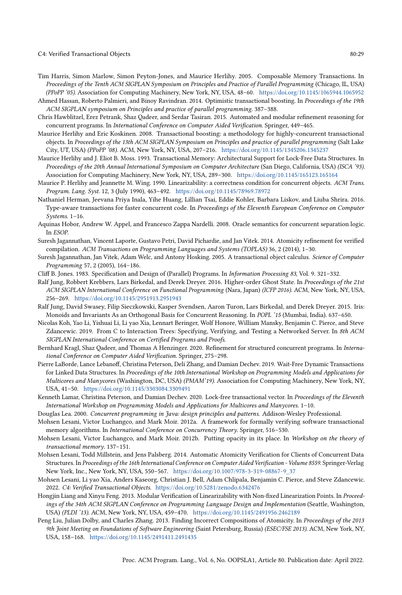C4: Verified Transactional Objects 80:29

- <span id="page-28-0"></span>Tim Harris, Simon Marlow, Simon Peyton-Jones, and Maurice Herlihy. 2005. Composable Memory Transactions. In Proceedings of the Tenth ACM SIGPLAN Symposium on Principles and Practice of Parallel Programming (Chicago, IL, USA) (PPoPP '05). Association for Computing Machinery, New York, NY, USA, 48-60. <https://doi.org/10.1145/1065944.1065952>
- <span id="page-28-7"></span>Ahmed Hassan, Roberto Palmieri, and Binoy Ravindran. 2014. Optimistic transactional boosting. In Proceedings of the 19th ACM SIGPLAN symposium on Principles and practice of parallel programming. 387-388.
- <span id="page-28-14"></span>Chris Hawblitzel, Erez Petrank, Shaz Qadeer, and Serdar Tasiran. 2015. Automated and modular refinement reasoning for concurrent programs. In International Conference on Computer Aided Verification. Springer, 449-465.
- <span id="page-28-6"></span>Maurice Herlihy and Eric Koskinen. 2008. Transactional boosting: a methodology for highly-concurrent transactional objects. In Proceedings of the 13th ACM SIGPLAN Symposium on Principles and practice of parallel programming (Salt Lake City, UT, USA) (PPoPP '08). ACM, New York, NY, USA, 207-216. <https://doi.org/10.1145/1345206.1345237>
- <span id="page-28-1"></span>Maurice Herlihy and J. Eliot B. Moss. 1993. Transactional Memory: Architectural Support for Lock-Free Data Structures. In Proceedings of the 20th Annual International Symposium on Computer Architecture (San Diego, California, USA) (ISCA '93). Association for Computing Machinery, New York, NY, USA, 289-300. <https://doi.org/10.1145/165123.165164>
- <span id="page-28-5"></span>Maurice P. Herlihy and Jeannette M. Wing. 1990. Linearizability: a correctness condition for concurrent objects. ACM Trans. Program. Lang. Syst. 12, 3 (July 1990), 463-492. <https://doi.org/10.1145/78969.78972>
- <span id="page-28-8"></span>Nathaniel Herman, Jeevana Priya Inala, Yihe Huang, Lillian Tsai, Eddie Kohler, Barbara Liskov, and Liuba Shrira. 2016. Type-aware transactions for faster concurrent code. In Proceedings of the Eleventh European Conference on Computer Systems.  $1-16$ .
- <span id="page-28-19"></span>Aquinas Hobor, Andrew W. Appel, and Francesco Zappa Nardelli. 2008. Oracle semantics for concurrent separation logic. In ESOP.
- <span id="page-28-15"></span>Suresh Jagannathan, Vincent Laporte, Gustavo Petri, David Pichardie, and Jan Vitek. 2014. Atomicity refinement for verified compilation. ACM Transactions on Programming Languages and Systems (TOPLAS) 36, 2 (2014), 1-30.
- <span id="page-28-2"></span>Suresh Jagannathan, Jan Vitek, Adam Welc, and Antony Hosking. 2005. A transactional object calculus. Science of Computer Programming 57, 2 (2005), 164-186.
- <span id="page-28-18"></span>Cliff B. Jones. 1983. Specification and Design of (Parallel) Programs. In Information Processing 83, Vol. 9. 321-332.
- <span id="page-28-21"></span>Ralf Jung, Robbert Krebbers, Lars Birkedal, and Derek Dreyer. 2016. Higher-order Ghost State. In Proceedings of the 21st ACM SIGPLAN International Conference on Functional Programming (Nara, Japan) (ICFP 2016). ACM, New York, NY, USA, 256-269. <https://doi.org/10.1145/2951913.2951943>
- <span id="page-28-22"></span>Ralf Jung, David Swasey, Filip Sieczkowski, Kasper Svendsen, Aaron Turon, Lars Birkedal, and Derek Dreyer. 2015. Iris: Monoids and Invariants As an Orthogonal Basis for Concurrent Reasoning. In POPL '15 (Mumbai, India). 637–650.
- <span id="page-28-3"></span>Nicolas Koh, Yao Li, Yishuai Li, Li yao Xia, Lennart Beringer, Wolf Honore, William Mansky, Benjamin C. Pierce, and Steve Zdancewic. 2019. From C to Interaction Trees: Specifying, Verifying, and Testing a Networked Server. In 8th ACM SIGPLAN International Conference on Certified Programs and Proofs.
- <span id="page-28-16"></span>Bernhard Kragl, Shaz Qadeer, and Thomas A Henzinger. 2020. Refinement for structured concurrent programs. In International Conference on Computer Aided Verification. Springer, 275-298.
- <span id="page-28-9"></span>Pierre LaBorde, Lance Lebanoff, Christina Peterson, Deli Zhang, and Damian Dechev. 2019. Wait-Free Dynamic Transactions for Linked Data Structures. In Proceedings of the 10th International Workshop on Programming Models and Applications for Multicores and Manycores (Washington, DC, USA) (PMAM'19). Association for Computing Machinery, New York, NY, USA, 41-50. <https://doi.org/10.1145/3303084.3309491>
- <span id="page-28-10"></span>Kenneth Lamar, Christina Peterson, and Damian Dechev. 2020. Lock-free transactional vector. In Proceedings of the Eleventh International Workshop on Programming Models and Applications for Multicores and Manycores. 1-10.
- <span id="page-28-13"></span>Douglas Lea. 2000. Concurrent programming in Java: design principles and patterns. Addison-Wesley Professional.
- <span id="page-28-17"></span>Mohsen Lesani, Victor Luchangco, and Mark Moir. 2012a. A framework for formally verifying software transactional memory algorithms. In International Conference on Concurrency Theory. Springer, 516-530.
- <span id="page-28-23"></span>Mohsen Lesani, Victor Luchangco, and Mark Moir. 2012b. Putting opacity in its place. In Workshop on the theory of transactional memory. 137-151.
- <span id="page-28-12"></span>Mohsen Lesani, Todd Millstein, and Jens Palsberg. 2014. Automatic Atomicity Verification for Clients of Concurrent Data Structures. In Proceedings of the 16th International Conference on Computer Aided Verification - Volume 8559. Springer-Verlag New York, Inc., New York, NY, USA, 550-567. [https://doi.org/10.1007/978-3-319-08867-9\\_37](https://doi.org/10.1007/978-3-319-08867-9_37)
- <span id="page-28-4"></span>Mohsen Lesani, Li yao Xia, Anders Kaseorg, Christian J. Bell, Adam Chlipala, Benjamin C. Pierce, and Steve Zdancewic. 2022. C4: Verified Transactional Objects. <https://doi.org/10.5281/zenodo.6342476>
- <span id="page-28-20"></span>Hongjin Liang and Xinyu Feng. 2013. Modular Verification of Linearizability with Non-fixed Linearization Points. In Proceedings of the 34th ACM SIGPLAN Conference on Programming Language Design and Implementation (Seattle, Washington, USA) (PLDI '13). ACM, New York, NY, USA, 459-470. <https://doi.org/10.1145/2491956.2462189>
- <span id="page-28-11"></span>Peng Liu, Julian Dolby, and Charles Zhang. 2013. Finding Incorrect Compositions of Atomicity. In Proceedings of the 2013 9th Joint Meeting on Foundations of Software Engineering (Saint Petersburg, Russia) (ESEC/FSE 2013). ACM, New York, NY, USA, 158-168. <https://doi.org/10.1145/2491411.2491435>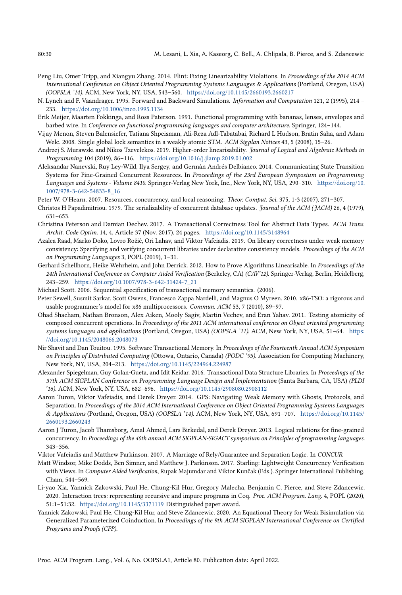- 
- <span id="page-29-9"></span>Peng Liu, Omer Tripp, and Xiangyu Zhang. 2014. Flint: Fixing Linearizability Violations. In Proceedings of the 2014 ACM International Conference on Object Oriented Programming Systems Languages & Applications (Portland, Oregon, USA) (OOPSLA '14). ACM, New York, NY, USA, 543-560. <https://doi.org/10.1145/2660193.2660217>
- <span id="page-29-11"></span>N. Lynch and F. Vaandrager. 1995. Forward and Backward Simulations. Information and Computation 121, 2 (1995), 214 -233. <https://doi.org/10.1006/inco.1995.1134>
- <span id="page-29-8"></span>Erik Meijer, Maarten Fokkinga, and Ross Paterson. 1991. Functional programming with bananas, lenses, envelopes and barbed wire. In Conference on functional programming languages and computer architecture. Springer, 124-144.
- <span id="page-29-7"></span>Vijay Menon, Steven Balensiefer, Tatiana Shpeisman, Ali-Reza Adl-Tabatabai, Richard L Hudson, Bratin Saha, and Adam Welc. 2008. Single global lock semantics in a weakly atomic STM. ACM Sigplan Notices 43, 5 (2008), 15-26.
- <span id="page-29-14"></span>Andrzej S. Murawski and Nikos Tzevelekos. 2019. Higher-order linearisability. Journal of Logical and Algebraic Methods in Programming 104 (2019), 86-116. <https://doi.org/10.1016/j.jlamp.2019.01.002>
- <span id="page-29-20"></span>Aleksandar Nanevski, Ruy Ley-Wild, Ilya Sergey, and Germán Andrés Delbianco. 2014. Communicating State Transition Systems for Fine-Grained Concurrent Resources. In Proceedings of the 23rd European Symposium on Programming Languages and Systems - Volume 8410. Springer-Verlag New York, Inc., New York, NY, USA, 290-310. [https://doi.org/10.](https://doi.org/10.1007/978-3-642-54833-8_16) [1007/978-3-642-54833-8\\_16](https://doi.org/10.1007/978-3-642-54833-8_16)
- <span id="page-29-17"></span>Peter W. O'Hearn. 2007. Resources, concurrency, and local reasoning. Theor. Comput. Sci. 375, 1-3 (2007), 271-307.
- <span id="page-29-3"></span>Christos H Papadimitriou. 1979. The serializability of concurrent database updates. Journal of the ACM (JACM) 26, 4 (1979),  $631 - 653.$
- <span id="page-29-10"></span>Christina Peterson and Damian Dechev. 2017. A Transactional Correctness Tool for Abstract Data Types. ACM Trans. Archit. Code Optim. 14, 4, Article 37 (Nov. 2017), 24 pages. <https://doi.org/10.1145/3148964>
- <span id="page-29-15"></span>Azalea Raad, Marko Doko, Lovro Rožić, Ori Lahav, and Viktor Vafeiadis. 2019. On library correctness under weak memory consistency: Specifying and verifying concurrent libraries under declarative consistency models. Proceedings of the ACM on Programming Languages 3, POPL (2019), 1-31.
- <span id="page-29-12"></span>Gerhard Schellhorn, Heike Wehrheim, and John Derrick. 2012. How to Prove Algorithms Linearisable. In Proceedings of the 24th International Conference on Computer Aided Verification (Berkeley, CA) (CAV'12). Springer-Verlag, Berlin, Heidelberg, 243-259. [https://doi.org/10.1007/978-3-642-31424-7\\_21](https://doi.org/10.1007/978-3-642-31424-7_21)
- <span id="page-29-4"></span>Michael Scott. 2006. Sequential specification of transactional memory semantics. (2006).
- <span id="page-29-16"></span>Peter Sewell, Susmit Sarkar, Scott Owens, Francesco Zappa Nardelli, and Magnus O Myreen. 2010. x86-TSO: a rigorous and usable programmer's model for x86 multiprocessors. Commun. ACM 53, 7 (2010), 89-97.
- <span id="page-29-6"></span>Ohad Shacham, Nathan Bronson, Alex Aiken, Mooly Sagiv, Martin Vechev, and Eran Yahav. 2011. Testing atomicity of composed concurrent operations. In Proceedings of the 2011 ACM international conference on Object oriented programming systems languages and applications (Portland, Oregon, USA) (OOPSLA '11). ACM, New York, NY, USA, 51-64. [https:](https://doi.org/10.1145/2048066.2048073) [//doi.org/10.1145/2048066.2048073](https://doi.org/10.1145/2048066.2048073)
- <span id="page-29-1"></span>Nir Shavit and Dan Touitou. 1995. Software Transactional Memory. In Proceedings of the Fourteenth Annual ACM Symposium on Principles of Distributed Computing (Ottowa, Ontario, Canada) (PODC '95). Association for Computing Machinery, New York, NY, USA, 204-213. <https://doi.org/10.1145/224964.224987>
- <span id="page-29-0"></span>Alexander Spiegelman, Guy Golan-Gueta, and Idit Keidar. 2016. Transactional Data Structure Libraries. In Proceedings of the 37th ACM SIGPLAN Conference on Programming Language Design and Implementation (Santa Barbara, CA, USA) (PLDI '16). ACM, New York, NY, USA, 682-696. <https://doi.org/10.1145/2908080.2908112>
- <span id="page-29-21"></span>Aaron Turon, Viktor Vafeiadis, and Derek Dreyer. 2014. GPS: Navigating Weak Memory with Ghosts, Protocols, and Separation. In Proceedings of the 2014 ACM International Conference on Object Oriented Programming Systems Languages & Applications (Portland, Oregon, USA) (OOPSLA '14). ACM, New York, NY, USA, 691-707. [https://doi.org/10.1145/](https://doi.org/10.1145/2660193.2660243) [2660193.2660243](https://doi.org/10.1145/2660193.2660243)
- <span id="page-29-13"></span>Aaron J Turon, Jacob Thamsborg, Amal Ahmed, Lars Birkedal, and Derek Dreyer. 2013. Logical relations for fine-grained concurrency. In Proceedings of the 40th annual ACM SIGPLAN-SIGACT symposium on Principles of programming languages.  $343 - 356$ .
- <span id="page-29-19"></span>Viktor Vafeiadis and Matthew Parkinson. 2007. A Marriage of Rely/Guarantee and Separation Logic. In CONCUR.
- <span id="page-29-18"></span>Matt Windsor, Mike Dodds, Ben Simner, and Matthew J. Parkinson. 2017. Starling: Lightweight Concurrency Verification with Views. In Computer Aided Verification, Rupak Majumdar and Viktor Kunčak (Eds.). Springer International Publishing, Cham, 544-569.
- <span id="page-29-2"></span>Li-yao Xia, Yannick Zakowski, Paul He, Chung-Kil Hur, Gregory Malecha, Benjamin C. Pierce, and Steve Zdancewic. 2020. Interaction trees: representing recursive and impure programs in Coq. Proc. ACM Program. Lang. 4, POPL (2020), 51:1-51:32. <https://doi.org/10.1145/3371119> Distinguished paper award.
- <span id="page-29-5"></span>Yannick Zakowski, Paul He, Chung-Kil Hur, and Steve Zdancewic. 2020. An Equational Theory for Weak Bisimulation via Generalized Parameterized Coinduction. In Proceedings of the 9th ACM SIGPLAN International Conference on Certified Programs and Proofs (CPP).